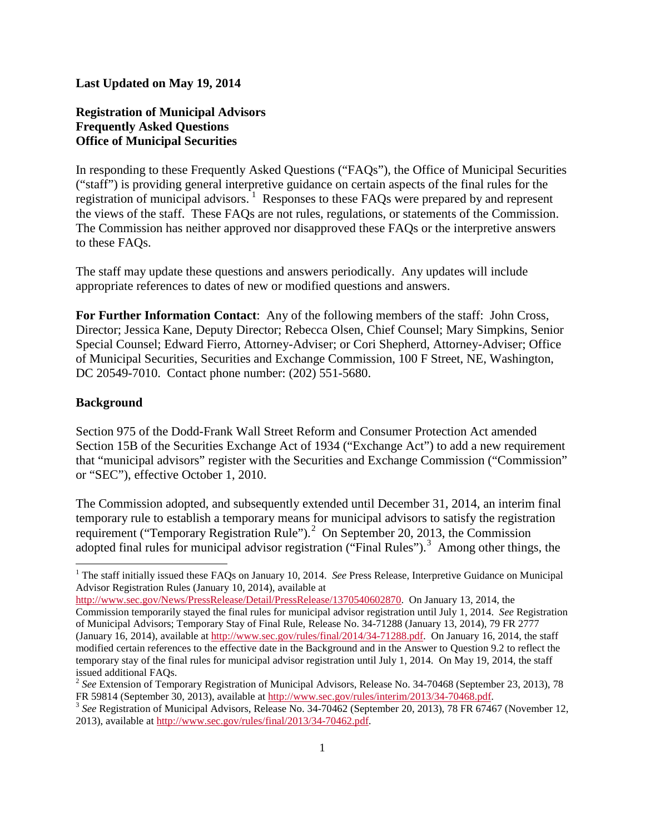#### **Last Updated on May 19, 2014**

# **Registration of Municipal Advisors Frequently Asked Questions Office of Municipal Securities**

In responding to these Frequently Asked Questions ("FAQs"), the Office of Municipal Securities ("staff") is providing general interpretive guidance on certain aspects of the final rules for the registration of municipal advisors.<sup>[1](#page-0-0)</sup> Responses to these FAQs were prepared by and represent the views of the staff. These FAQs are not rules, regulations, or statements of the Commission. The Commission has neither approved nor disapproved these FAQs or the interpretive answers to these FAQs.

The staff may update these questions and answers periodically. Any updates will include appropriate references to dates of new or modified questions and answers.

**For Further Information Contact**: Any of the following members of the staff: John Cross, Director; Jessica Kane, Deputy Director; Rebecca Olsen, Chief Counsel; Mary Simpkins, Senior Special Counsel; Edward Fierro, Attorney-Adviser; or Cori Shepherd, Attorney-Adviser; Office of Municipal Securities, Securities and Exchange Commission, 100 F Street, NE, Washington, DC 20549-7010. Contact phone number: (202) 551-5680.

#### **Background**

Section 975 of the Dodd-Frank Wall Street Reform and Consumer Protection Act amended Section 15B of the Securities Exchange Act of 1934 ("Exchange Act") to add a new requirement that "municipal advisors" register with the Securities and Exchange Commission ("Commission" or "SEC"), effective October 1, 2010.

The Commission adopted, and subsequently extended until December 31, 2014, an interim final temporary rule to establish a temporary means for municipal advisors to satisfy the registration requirement ("Temporary Registration Rule").<sup>[2](#page-0-1)</sup> On September 20, 2013, the Commission adopted final rules for municipal advisor registration ("Final Rules").<sup>[3](#page-0-2)</sup> Among other things, the

[http://www.sec.gov/News/PressRelease/Detail/PressRelease/1370540602870.](http://www.sec.gov/News/PressRelease/Detail/PressRelease/1370540602870) On January 13, 2014, the Commission temporarily stayed the final rules for municipal advisor registration until July 1, 2014. *See* Registration of Municipal Advisors; Temporary Stay of Final Rule, Release No. 34-71288 (January 13, 2014), 79 FR 2777 (January 16, 2014), available a[t http://www.sec.gov/rules/final/2014/34-71288.pdf.](http://www.sec.gov/rules/final/2014/34-71288.pdf) On January 16, 2014, the staff modified certain references to the effective date in the Background and in the Answer to Question 9.2 to reflect the temporary stay of the final rules for municipal advisor registration until July 1, 2014. On May 19, 2014, the staff

<span id="page-0-0"></span><sup>&</sup>lt;sup>1</sup> The staff initially issued these FAQs on January 10, 2014. *See* Press Release, Interpretive Guidance on Municipal Advisor Registration Rules (January 10, 2014), available at

<span id="page-0-1"></span>issued additional FAQs.<br><sup>2</sup> *See* Extension of Temporary Registration of Municipal Advisors, Release No. 34-70468 (September 23, 2013), 78<br>FR 59814 (September 30, 2013), available at http://www.sec.gov/rules/interim/2013/3

<span id="page-0-2"></span><sup>&</sup>lt;sup>3</sup> See Registration of Municipal Advisors, Release No. 34-70462 (September 20, 2013), 78 FR 67467 (November 12, 2013), available a[t http://www.sec.gov/rules/final/2013/34-70462.pdf.](http://www.sec.gov/rules/final/2013/34-70462.pdf)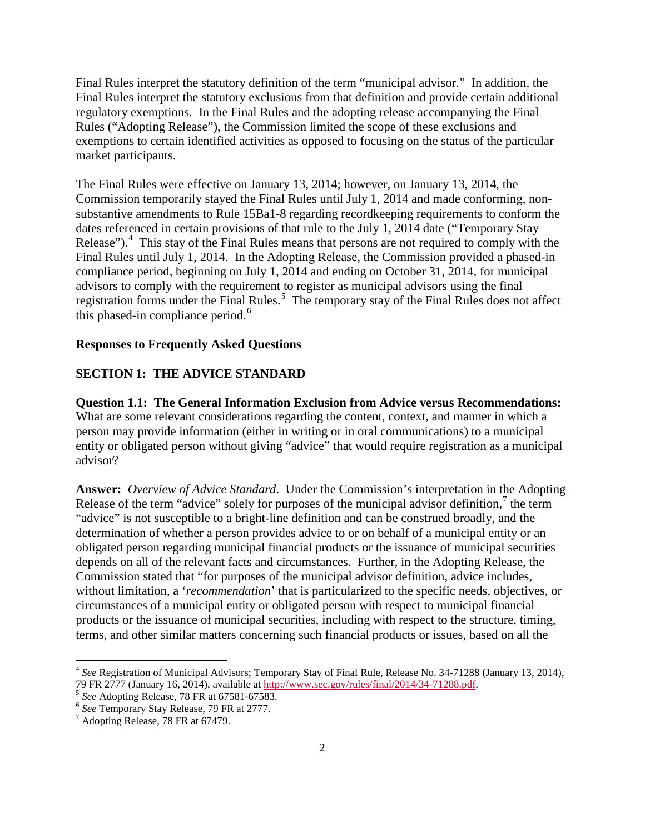Final Rules interpret the statutory definition of the term "municipal advisor." In addition, the Final Rules interpret the statutory exclusions from that definition and provide certain additional regulatory exemptions. In the Final Rules and the adopting release accompanying the Final Rules ("Adopting Release"), the Commission limited the scope of these exclusions and exemptions to certain identified activities as opposed to focusing on the status of the particular market participants.

The Final Rules were effective on January 13, 2014; however, on January 13, 2014, the Commission temporarily stayed the Final Rules until July 1, 2014 and made conforming, nonsubstantive amendments to Rule 15Ba1-8 regarding recordkeeping requirements to conform the dates referenced in certain provisions of that rule to the July 1, 2014 date ("Temporary Stay Release").<sup>[4](#page-1-0)</sup> This stay of the Final Rules means that persons are not required to comply with the Final Rules until July 1, 2014. In the Adopting Release, the Commission provided a phased-in compliance period, beginning on July 1, 2014 and ending on October 31, 2014, for municipal advisors to comply with the requirement to register as municipal advisors using the final registration forms under the Final Rules.<sup>[5](#page-1-1)</sup> The temporary stay of the Final Rules does not affect this phased-in compliance period. $<sup>6</sup>$  $<sup>6</sup>$  $<sup>6</sup>$ </sup>

#### **Responses to Frequently Asked Questions**

#### **SECTION 1: THE ADVICE STANDARD**

**Question 1.1: The General Information Exclusion from Advice versus Recommendations:**  What are some relevant considerations regarding the content, context, and manner in which a person may provide information (either in writing or in oral communications) to a municipal entity or obligated person without giving "advice" that would require registration as a municipal advisor?

**Answer:** *Overview of Advice Standard*. Under the Commission's interpretation in the Adopting Release of the term "advice" solely for purposes of the municipal advisor definition,  $\frac{1}{2}$  the term "advice" is not susceptible to a bright-line definition and can be construed broadly, and the determination of whether a person provides advice to or on behalf of a municipal entity or an obligated person regarding municipal financial products or the issuance of municipal securities depends on all of the relevant facts and circumstances. Further, in the Adopting Release, the Commission stated that "for purposes of the municipal advisor definition, advice includes, without limitation, a '*recommendation*' that is particularized to the specific needs, objectives, or circumstances of a municipal entity or obligated person with respect to municipal financial products or the issuance of municipal securities, including with respect to the structure, timing, terms, and other similar matters concerning such financial products or issues, based on all the

<span id="page-1-0"></span><sup>4</sup> *See* Registration of Municipal Advisors; Temporary Stay of Final Rule, Release No. 34-71288 (January 13, 2014), 79 FR 2777 (January 16, 2014), available at  $\frac{http://www.sec.gov/rules/final/2014/34-71288.pdf}{\text{See Adopting Release, 78 FR at 67581-67583.}}$ <br>  $^6$  See Temporary Stay Release, 79 FR at 2777.<br>  $^7$  Adopting Release, 78 FR at 67479.

<span id="page-1-1"></span>

<span id="page-1-2"></span>

<span id="page-1-3"></span>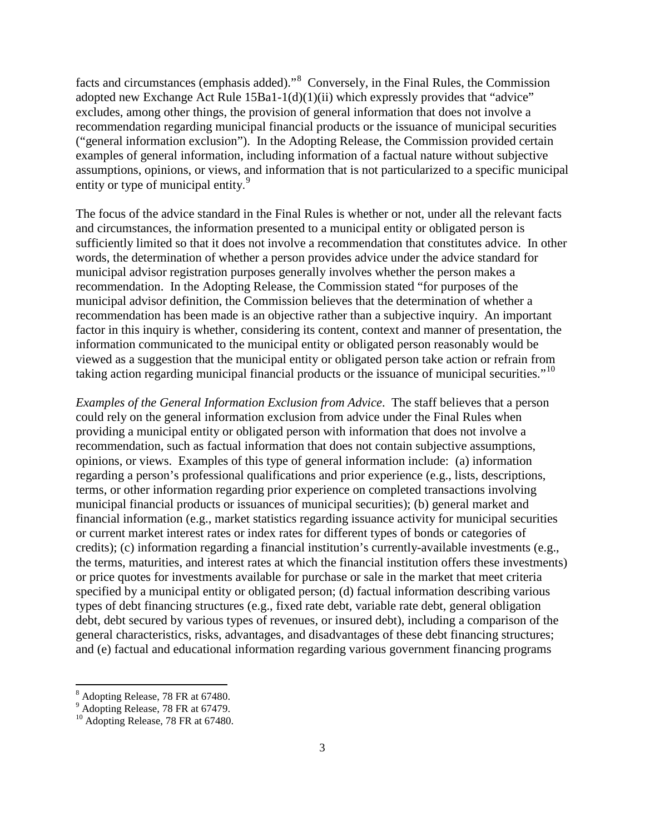facts and circumstances (emphasis added)."<sup>[8](#page-2-0)</sup> Conversely, in the Final Rules, the Commission adopted new Exchange Act Rule 15Ba1-1(d)(1)(ii) which expressly provides that "advice" excludes, among other things, the provision of general information that does not involve a recommendation regarding municipal financial products or the issuance of municipal securities ("general information exclusion"). In the Adopting Release, the Commission provided certain examples of general information, including information of a factual nature without subjective assumptions, opinions, or views, and information that is not particularized to a specific municipal entity or type of municipal entity.<sup>[9](#page-2-1)</sup>

The focus of the advice standard in the Final Rules is whether or not, under all the relevant facts and circumstances, the information presented to a municipal entity or obligated person is sufficiently limited so that it does not involve a recommendation that constitutes advice. In other words, the determination of whether a person provides advice under the advice standard for municipal advisor registration purposes generally involves whether the person makes a recommendation. In the Adopting Release, the Commission stated "for purposes of the municipal advisor definition, the Commission believes that the determination of whether a recommendation has been made is an objective rather than a subjective inquiry. An important factor in this inquiry is whether, considering its content, context and manner of presentation, the information communicated to the municipal entity or obligated person reasonably would be viewed as a suggestion that the municipal entity or obligated person take action or refrain from taking action regarding municipal financial products or the issuance of municipal securities."<sup>[10](#page-2-2)</sup>

*Examples of the General Information Exclusion from Advice*. The staff believes that a person could rely on the general information exclusion from advice under the Final Rules when providing a municipal entity or obligated person with information that does not involve a recommendation, such as factual information that does not contain subjective assumptions, opinions, or views. Examples of this type of general information include: (a) information regarding a person's professional qualifications and prior experience (e.g., lists, descriptions, terms, or other information regarding prior experience on completed transactions involving municipal financial products or issuances of municipal securities); (b) general market and financial information (e.g., market statistics regarding issuance activity for municipal securities or current market interest rates or index rates for different types of bonds or categories of credits); (c) information regarding a financial institution's currently-available investments (e.g., the terms, maturities, and interest rates at which the financial institution offers these investments) or price quotes for investments available for purchase or sale in the market that meet criteria specified by a municipal entity or obligated person; (d) factual information describing various types of debt financing structures (e.g., fixed rate debt, variable rate debt, general obligation debt, debt secured by various types of revenues, or insured debt), including a comparison of the general characteristics, risks, advantages, and disadvantages of these debt financing structures; and (e) factual and educational information regarding various government financing programs

<sup>8</sup> Adopting Release, 78 FR at 67480.

<span id="page-2-2"></span><span id="page-2-1"></span><span id="page-2-0"></span><sup>&</sup>lt;sup>9</sup> Adopting Release, 78 FR at 67479.

<sup>&</sup>lt;sup>10</sup> Adopting Release, 78 FR at 67480.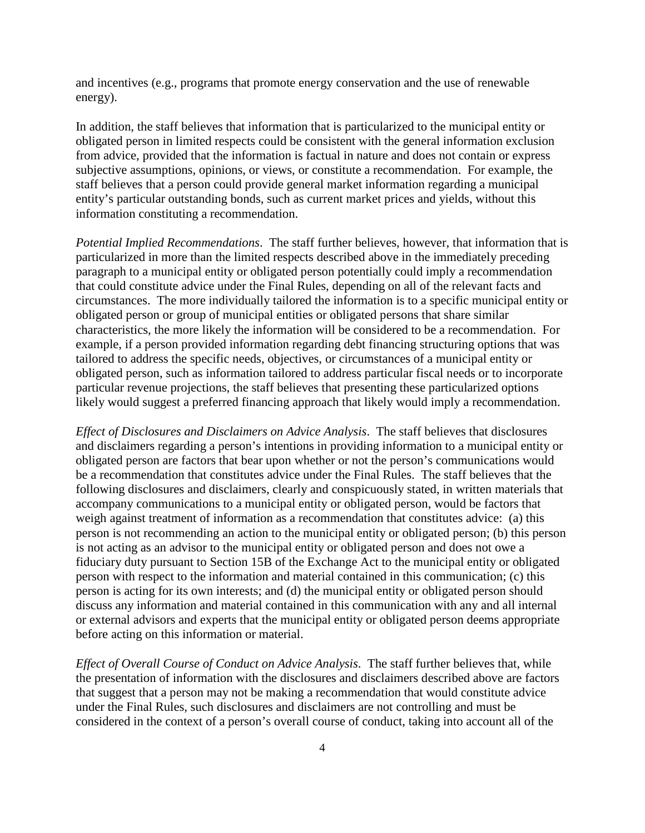and incentives (e.g., programs that promote energy conservation and the use of renewable energy).

In addition, the staff believes that information that is particularized to the municipal entity or obligated person in limited respects could be consistent with the general information exclusion from advice, provided that the information is factual in nature and does not contain or express subjective assumptions, opinions, or views, or constitute a recommendation. For example, the staff believes that a person could provide general market information regarding a municipal entity's particular outstanding bonds, such as current market prices and yields, without this information constituting a recommendation.

*Potential Implied Recommendations*. The staff further believes, however, that information that is particularized in more than the limited respects described above in the immediately preceding paragraph to a municipal entity or obligated person potentially could imply a recommendation that could constitute advice under the Final Rules, depending on all of the relevant facts and circumstances. The more individually tailored the information is to a specific municipal entity or obligated person or group of municipal entities or obligated persons that share similar characteristics, the more likely the information will be considered to be a recommendation. For example, if a person provided information regarding debt financing structuring options that was tailored to address the specific needs, objectives, or circumstances of a municipal entity or obligated person, such as information tailored to address particular fiscal needs or to incorporate particular revenue projections, the staff believes that presenting these particularized options likely would suggest a preferred financing approach that likely would imply a recommendation.

*Effect of Disclosures and Disclaimers on Advice Analysis*. The staff believes that disclosures and disclaimers regarding a person's intentions in providing information to a municipal entity or obligated person are factors that bear upon whether or not the person's communications would be a recommendation that constitutes advice under the Final Rules. The staff believes that the following disclosures and disclaimers, clearly and conspicuously stated, in written materials that accompany communications to a municipal entity or obligated person, would be factors that weigh against treatment of information as a recommendation that constitutes advice: (a) this person is not recommending an action to the municipal entity or obligated person; (b) this person is not acting as an advisor to the municipal entity or obligated person and does not owe a fiduciary duty pursuant to Section 15B of the Exchange Act to the municipal entity or obligated person with respect to the information and material contained in this communication; (c) this person is acting for its own interests; and (d) the municipal entity or obligated person should discuss any information and material contained in this communication with any and all internal or external advisors and experts that the municipal entity or obligated person deems appropriate before acting on this information or material.

*Effect of Overall Course of Conduct on Advice Analysis*. The staff further believes that, while the presentation of information with the disclosures and disclaimers described above are factors that suggest that a person may not be making a recommendation that would constitute advice under the Final Rules, such disclosures and disclaimers are not controlling and must be considered in the context of a person's overall course of conduct, taking into account all of the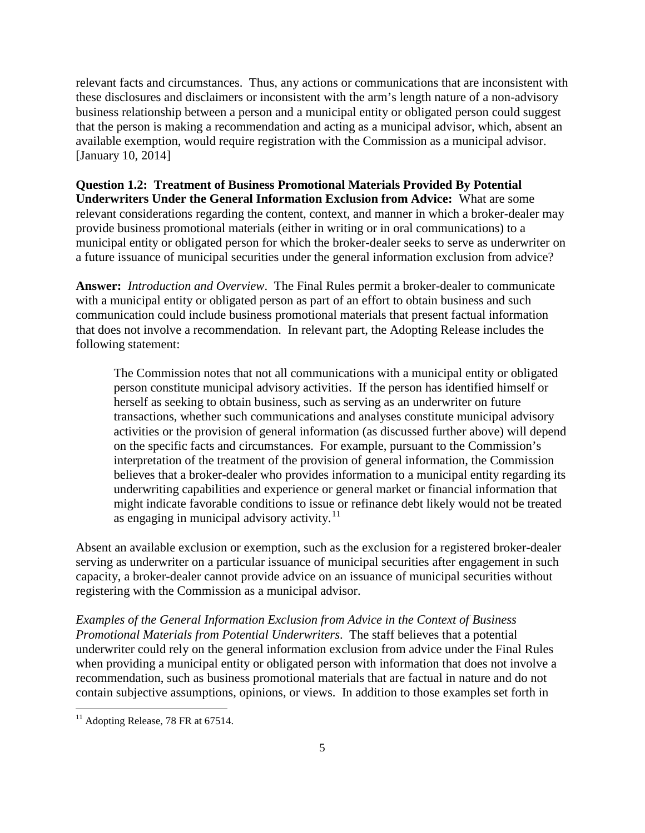relevant facts and circumstances. Thus, any actions or communications that are inconsistent with these disclosures and disclaimers or inconsistent with the arm's length nature of a non-advisory business relationship between a person and a municipal entity or obligated person could suggest that the person is making a recommendation and acting as a municipal advisor, which, absent an available exemption, would require registration with the Commission as a municipal advisor. [January 10, 2014]

**Question 1.2: Treatment of Business Promotional Materials Provided By Potential Underwriters Under the General Information Exclusion from Advice:** What are some relevant considerations regarding the content, context, and manner in which a broker-dealer may provide business promotional materials (either in writing or in oral communications) to a municipal entity or obligated person for which the broker-dealer seeks to serve as underwriter on a future issuance of municipal securities under the general information exclusion from advice?

**Answer:** *Introduction and Overview*. The Final Rules permit a broker-dealer to communicate with a municipal entity or obligated person as part of an effort to obtain business and such communication could include business promotional materials that present factual information that does not involve a recommendation. In relevant part, the Adopting Release includes the following statement:

The Commission notes that not all communications with a municipal entity or obligated person constitute municipal advisory activities. If the person has identified himself or herself as seeking to obtain business, such as serving as an underwriter on future transactions, whether such communications and analyses constitute municipal advisory activities or the provision of general information (as discussed further above) will depend on the specific facts and circumstances. For example, pursuant to the Commission's interpretation of the treatment of the provision of general information, the Commission believes that a broker-dealer who provides information to a municipal entity regarding its underwriting capabilities and experience or general market or financial information that might indicate favorable conditions to issue or refinance debt likely would not be treated as engaging in municipal advisory activity. $^{11}$  $^{11}$  $^{11}$ 

Absent an available exclusion or exemption, such as the exclusion for a registered broker-dealer serving as underwriter on a particular issuance of municipal securities after engagement in such capacity, a broker-dealer cannot provide advice on an issuance of municipal securities without registering with the Commission as a municipal advisor.

*Examples of the General Information Exclusion from Advice in the Context of Business Promotional Materials from Potential Underwriters*. The staff believes that a potential underwriter could rely on the general information exclusion from advice under the Final Rules when providing a municipal entity or obligated person with information that does not involve a recommendation, such as business promotional materials that are factual in nature and do not contain subjective assumptions, opinions, or views. In addition to those examples set forth in

<span id="page-4-0"></span> $11$  Adopting Release, 78 FR at 67514.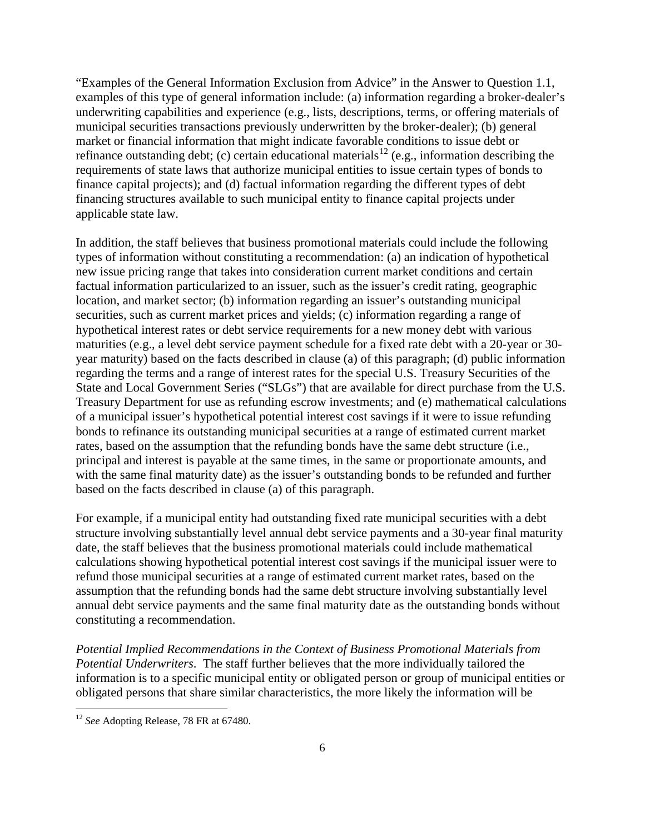"Examples of the General Information Exclusion from Advice" in the Answer to Question 1.1, examples of this type of general information include: (a) information regarding a broker-dealer's underwriting capabilities and experience (e.g., lists, descriptions, terms, or offering materials of municipal securities transactions previously underwritten by the broker-dealer); (b) general market or financial information that might indicate favorable conditions to issue debt or refinance outstanding debt; (c) certain educational materials<sup>[12](#page-5-0)</sup> (e.g., information describing the requirements of state laws that authorize municipal entities to issue certain types of bonds to finance capital projects); and (d) factual information regarding the different types of debt financing structures available to such municipal entity to finance capital projects under applicable state law.

In addition, the staff believes that business promotional materials could include the following types of information without constituting a recommendation: (a) an indication of hypothetical new issue pricing range that takes into consideration current market conditions and certain factual information particularized to an issuer, such as the issuer's credit rating, geographic location, and market sector; (b) information regarding an issuer's outstanding municipal securities, such as current market prices and yields; (c) information regarding a range of hypothetical interest rates or debt service requirements for a new money debt with various maturities (e.g., a level debt service payment schedule for a fixed rate debt with a 20-year or 30 year maturity) based on the facts described in clause (a) of this paragraph; (d) public information regarding the terms and a range of interest rates for the special U.S. Treasury Securities of the State and Local Government Series ("SLGs") that are available for direct purchase from the U.S. Treasury Department for use as refunding escrow investments; and (e) mathematical calculations of a municipal issuer's hypothetical potential interest cost savings if it were to issue refunding bonds to refinance its outstanding municipal securities at a range of estimated current market rates, based on the assumption that the refunding bonds have the same debt structure (i.e., principal and interest is payable at the same times, in the same or proportionate amounts, and with the same final maturity date) as the issuer's outstanding bonds to be refunded and further based on the facts described in clause (a) of this paragraph.

For example, if a municipal entity had outstanding fixed rate municipal securities with a debt structure involving substantially level annual debt service payments and a 30-year final maturity date, the staff believes that the business promotional materials could include mathematical calculations showing hypothetical potential interest cost savings if the municipal issuer were to refund those municipal securities at a range of estimated current market rates, based on the assumption that the refunding bonds had the same debt structure involving substantially level annual debt service payments and the same final maturity date as the outstanding bonds without constituting a recommendation.

*Potential Implied Recommendations in the Context of Business Promotional Materials from Potential Underwriters*. The staff further believes that the more individually tailored the information is to a specific municipal entity or obligated person or group of municipal entities or obligated persons that share similar characteristics, the more likely the information will be

<span id="page-5-0"></span><sup>&</sup>lt;sup>12</sup> *See* Adopting Release, 78 FR at 67480.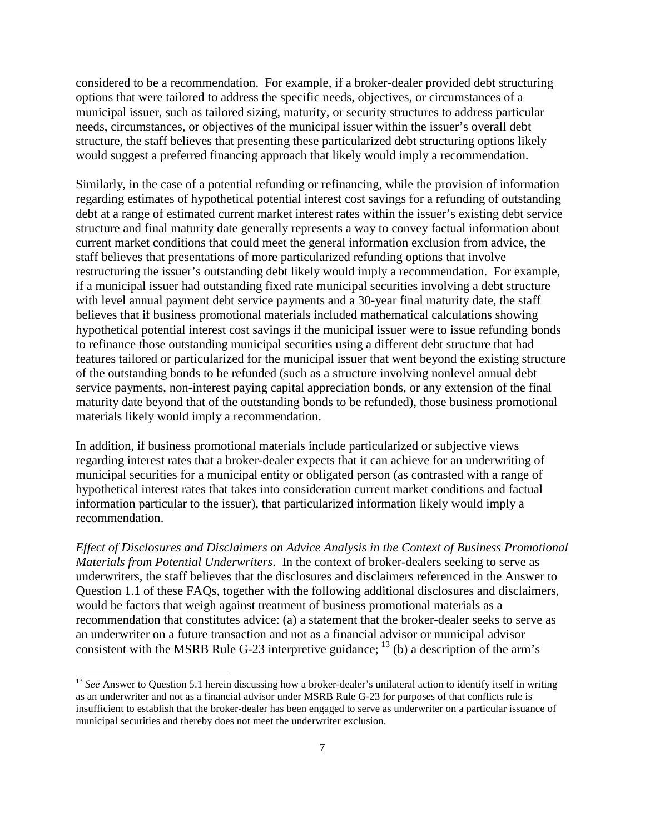considered to be a recommendation. For example, if a broker-dealer provided debt structuring options that were tailored to address the specific needs, objectives, or circumstances of a municipal issuer, such as tailored sizing, maturity, or security structures to address particular needs, circumstances, or objectives of the municipal issuer within the issuer's overall debt structure, the staff believes that presenting these particularized debt structuring options likely would suggest a preferred financing approach that likely would imply a recommendation.

Similarly, in the case of a potential refunding or refinancing, while the provision of information regarding estimates of hypothetical potential interest cost savings for a refunding of outstanding debt at a range of estimated current market interest rates within the issuer's existing debt service structure and final maturity date generally represents a way to convey factual information about current market conditions that could meet the general information exclusion from advice, the staff believes that presentations of more particularized refunding options that involve restructuring the issuer's outstanding debt likely would imply a recommendation. For example, if a municipal issuer had outstanding fixed rate municipal securities involving a debt structure with level annual payment debt service payments and a 30-year final maturity date, the staff believes that if business promotional materials included mathematical calculations showing hypothetical potential interest cost savings if the municipal issuer were to issue refunding bonds to refinance those outstanding municipal securities using a different debt structure that had features tailored or particularized for the municipal issuer that went beyond the existing structure of the outstanding bonds to be refunded (such as a structure involving nonlevel annual debt service payments, non-interest paying capital appreciation bonds, or any extension of the final maturity date beyond that of the outstanding bonds to be refunded), those business promotional materials likely would imply a recommendation.

In addition, if business promotional materials include particularized or subjective views regarding interest rates that a broker-dealer expects that it can achieve for an underwriting of municipal securities for a municipal entity or obligated person (as contrasted with a range of hypothetical interest rates that takes into consideration current market conditions and factual information particular to the issuer), that particularized information likely would imply a recommendation.

*Effect of Disclosures and Disclaimers on Advice Analysis in the Context of Business Promotional Materials from Potential Underwriters*. In the context of broker-dealers seeking to serve as underwriters, the staff believes that the disclosures and disclaimers referenced in the Answer to Question 1.1 of these FAQs, together with the following additional disclosures and disclaimers, would be factors that weigh against treatment of business promotional materials as a recommendation that constitutes advice: (a) a statement that the broker-dealer seeks to serve as an underwriter on a future transaction and not as a financial advisor or municipal advisor consistent with the MSRB Rule G-23 interpretive guidance;  $^{13}$  $^{13}$  $^{13}$  (b) a description of the arm's

<span id="page-6-0"></span><sup>&</sup>lt;sup>13</sup> See Answer to Question 5.1 herein discussing how a broker-dealer's unilateral action to identify itself in writing as an underwriter and not as a financial advisor under MSRB Rule G-23 for purposes of that conflicts rule is insufficient to establish that the broker-dealer has been engaged to serve as underwriter on a particular issuance of municipal securities and thereby does not meet the underwriter exclusion.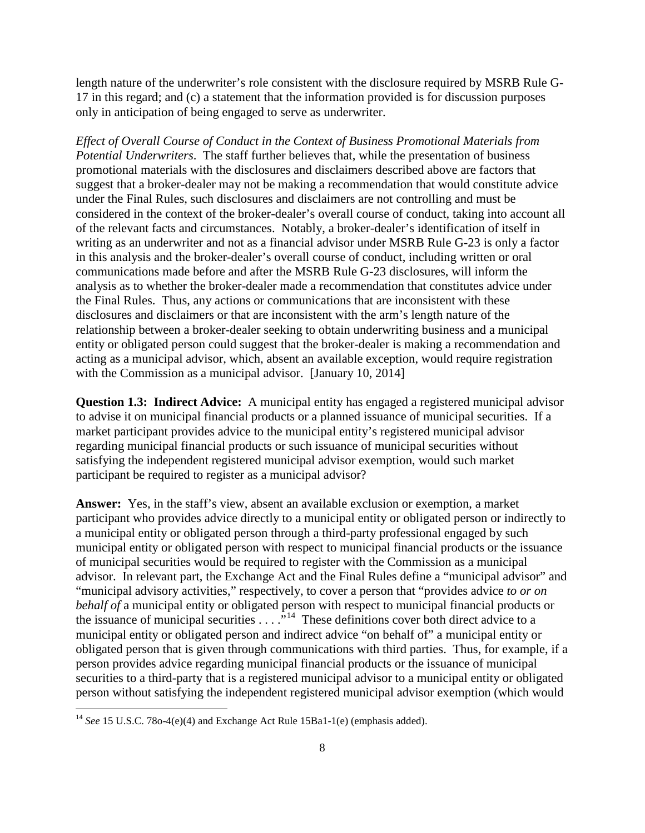length nature of the underwriter's role consistent with the disclosure required by MSRB Rule G-17 in this regard; and (c) a statement that the information provided is for discussion purposes only in anticipation of being engaged to serve as underwriter.

*Effect of Overall Course of Conduct in the Context of Business Promotional Materials from Potential Underwriters*. The staff further believes that, while the presentation of business promotional materials with the disclosures and disclaimers described above are factors that suggest that a broker-dealer may not be making a recommendation that would constitute advice under the Final Rules, such disclosures and disclaimers are not controlling and must be considered in the context of the broker-dealer's overall course of conduct, taking into account all of the relevant facts and circumstances. Notably, a broker-dealer's identification of itself in writing as an underwriter and not as a financial advisor under MSRB Rule G-23 is only a factor in this analysis and the broker-dealer's overall course of conduct, including written or oral communications made before and after the MSRB Rule G-23 disclosures, will inform the analysis as to whether the broker-dealer made a recommendation that constitutes advice under the Final Rules. Thus, any actions or communications that are inconsistent with these disclosures and disclaimers or that are inconsistent with the arm's length nature of the relationship between a broker-dealer seeking to obtain underwriting business and a municipal entity or obligated person could suggest that the broker-dealer is making a recommendation and acting as a municipal advisor, which, absent an available exception, would require registration with the Commission as a municipal advisor. [January 10, 2014]

**Question 1.3: Indirect Advice:** A municipal entity has engaged a registered municipal advisor to advise it on municipal financial products or a planned issuance of municipal securities. If a market participant provides advice to the municipal entity's registered municipal advisor regarding municipal financial products or such issuance of municipal securities without satisfying the independent registered municipal advisor exemption, would such market participant be required to register as a municipal advisor?

**Answer:** Yes, in the staff's view, absent an available exclusion or exemption, a market participant who provides advice directly to a municipal entity or obligated person or indirectly to a municipal entity or obligated person through a third-party professional engaged by such municipal entity or obligated person with respect to municipal financial products or the issuance of municipal securities would be required to register with the Commission as a municipal advisor. In relevant part, the Exchange Act and the Final Rules define a "municipal advisor" and "municipal advisory activities," respectively, to cover a person that "provides advice *to or on behalf of* a municipal entity or obligated person with respect to municipal financial products or the issuance of municipal securities  $\ldots$  ."<sup>14</sup> These definitions cover both direct advice to a municipal entity or obligated person and indirect advice "on behalf of" a municipal entity or obligated person that is given through communications with third parties. Thus, for example, if a person provides advice regarding municipal financial products or the issuance of municipal securities to a third-party that is a registered municipal advisor to a municipal entity or obligated person without satisfying the independent registered municipal advisor exemption (which would

<span id="page-7-0"></span><sup>&</sup>lt;sup>14</sup> *See* 15 U.S.C. 78o-4(e)(4) and Exchange Act Rule 15Ba1-1(e) (emphasis added).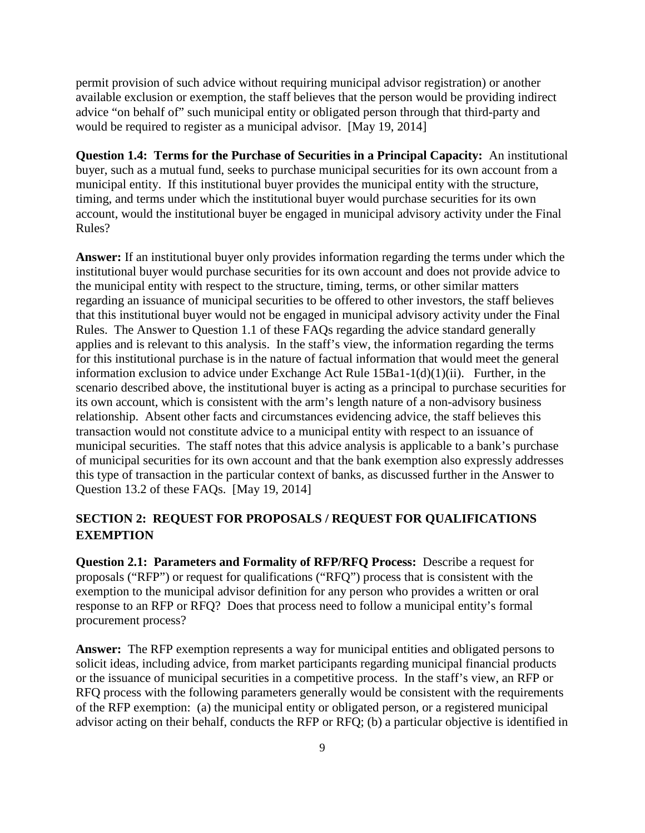permit provision of such advice without requiring municipal advisor registration) or another available exclusion or exemption, the staff believes that the person would be providing indirect advice "on behalf of" such municipal entity or obligated person through that third-party and would be required to register as a municipal advisor. [May 19, 2014]

**Question 1.4: Terms for the Purchase of Securities in a Principal Capacity:** An institutional buyer, such as a mutual fund, seeks to purchase municipal securities for its own account from a municipal entity. If this institutional buyer provides the municipal entity with the structure, timing, and terms under which the institutional buyer would purchase securities for its own account, would the institutional buyer be engaged in municipal advisory activity under the Final Rules?

**Answer:** If an institutional buyer only provides information regarding the terms under which the institutional buyer would purchase securities for its own account and does not provide advice to the municipal entity with respect to the structure, timing, terms, or other similar matters regarding an issuance of municipal securities to be offered to other investors, the staff believes that this institutional buyer would not be engaged in municipal advisory activity under the Final Rules. The Answer to Question 1.1 of these FAQs regarding the advice standard generally applies and is relevant to this analysis. In the staff's view, the information regarding the terms for this institutional purchase is in the nature of factual information that would meet the general information exclusion to advice under Exchange Act Rule 15Ba1-1(d)(1)(ii). Further, in the scenario described above, the institutional buyer is acting as a principal to purchase securities for its own account, which is consistent with the arm's length nature of a non-advisory business relationship. Absent other facts and circumstances evidencing advice, the staff believes this transaction would not constitute advice to a municipal entity with respect to an issuance of municipal securities. The staff notes that this advice analysis is applicable to a bank's purchase of municipal securities for its own account and that the bank exemption also expressly addresses this type of transaction in the particular context of banks, as discussed further in the Answer to Question 13.2 of these FAQs. [May 19, 2014]

# **SECTION 2: REQUEST FOR PROPOSALS / REQUEST FOR QUALIFICATIONS EXEMPTION**

**Question 2.1: Parameters and Formality of RFP/RFQ Process:** Describe a request for proposals ("RFP") or request for qualifications ("RFQ") process that is consistent with the exemption to the municipal advisor definition for any person who provides a written or oral response to an RFP or RFQ? Does that process need to follow a municipal entity's formal procurement process?

**Answer:** The RFP exemption represents a way for municipal entities and obligated persons to solicit ideas, including advice, from market participants regarding municipal financial products or the issuance of municipal securities in a competitive process. In the staff's view, an RFP or RFQ process with the following parameters generally would be consistent with the requirements of the RFP exemption: (a) the municipal entity or obligated person, or a registered municipal advisor acting on their behalf, conducts the RFP or RFQ; (b) a particular objective is identified in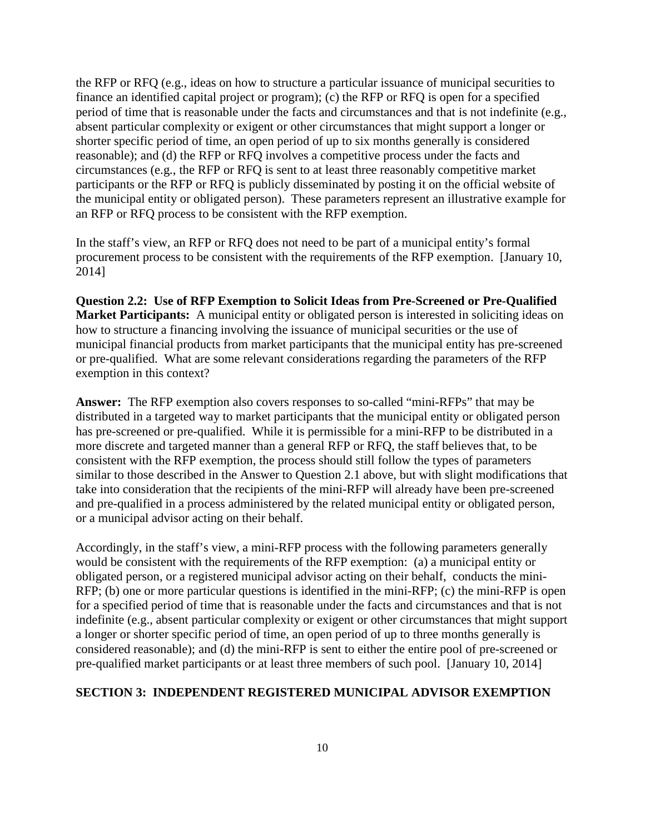the RFP or RFQ (e.g., ideas on how to structure a particular issuance of municipal securities to finance an identified capital project or program); (c) the RFP or RFQ is open for a specified period of time that is reasonable under the facts and circumstances and that is not indefinite (e.g., absent particular complexity or exigent or other circumstances that might support a longer or shorter specific period of time, an open period of up to six months generally is considered reasonable); and (d) the RFP or RFQ involves a competitive process under the facts and circumstances (e.g., the RFP or RFQ is sent to at least three reasonably competitive market participants or the RFP or RFQ is publicly disseminated by posting it on the official website of the municipal entity or obligated person). These parameters represent an illustrative example for an RFP or RFQ process to be consistent with the RFP exemption.

In the staff's view, an RFP or RFQ does not need to be part of a municipal entity's formal procurement process to be consistent with the requirements of the RFP exemption. [January 10, 2014]

**Question 2.2: Use of RFP Exemption to Solicit Ideas from Pre-Screened or Pre-Qualified Market Participants:** A municipal entity or obligated person is interested in soliciting ideas on how to structure a financing involving the issuance of municipal securities or the use of municipal financial products from market participants that the municipal entity has pre-screened or pre-qualified. What are some relevant considerations regarding the parameters of the RFP exemption in this context?

**Answer:** The RFP exemption also covers responses to so-called "mini-RFPs" that may be distributed in a targeted way to market participants that the municipal entity or obligated person has pre-screened or pre-qualified. While it is permissible for a mini-RFP to be distributed in a more discrete and targeted manner than a general RFP or RFQ, the staff believes that, to be consistent with the RFP exemption, the process should still follow the types of parameters similar to those described in the Answer to Question 2.1 above, but with slight modifications that take into consideration that the recipients of the mini-RFP will already have been pre-screened and pre-qualified in a process administered by the related municipal entity or obligated person, or a municipal advisor acting on their behalf.

Accordingly, in the staff's view, a mini-RFP process with the following parameters generally would be consistent with the requirements of the RFP exemption: (a) a municipal entity or obligated person, or a registered municipal advisor acting on their behalf, conducts the mini-RFP; (b) one or more particular questions is identified in the mini-RFP; (c) the mini-RFP is open for a specified period of time that is reasonable under the facts and circumstances and that is not indefinite (e.g., absent particular complexity or exigent or other circumstances that might support a longer or shorter specific period of time, an open period of up to three months generally is considered reasonable); and (d) the mini-RFP is sent to either the entire pool of pre-screened or pre-qualified market participants or at least three members of such pool. [January 10, 2014]

#### **SECTION 3: INDEPENDENT REGISTERED MUNICIPAL ADVISOR EXEMPTION**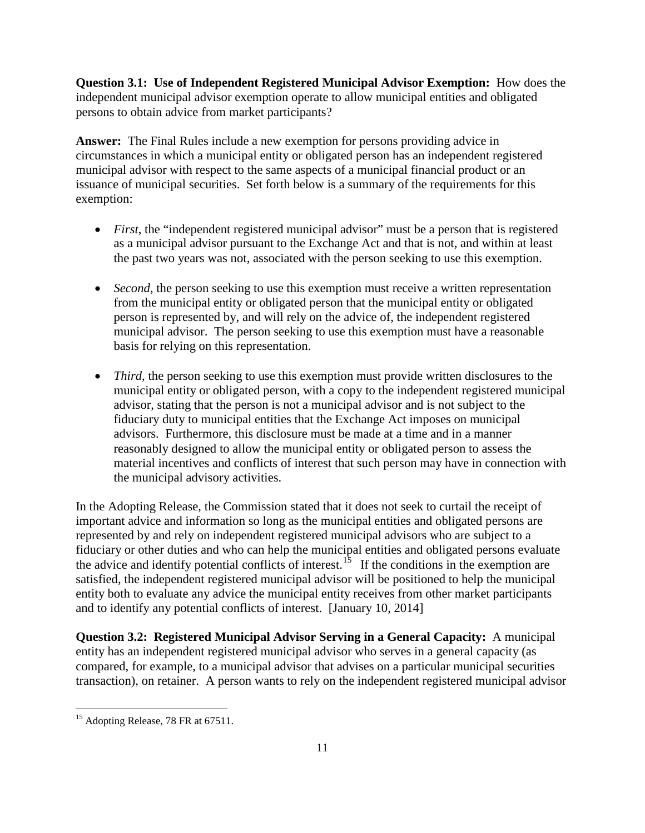**Question 3.1: Use of Independent Registered Municipal Advisor Exemption:** How does the independent municipal advisor exemption operate to allow municipal entities and obligated persons to obtain advice from market participants?

**Answer:** The Final Rules include a new exemption for persons providing advice in circumstances in which a municipal entity or obligated person has an independent registered municipal advisor with respect to the same aspects of a municipal financial product or an issuance of municipal securities. Set forth below is a summary of the requirements for this exemption:

- *First*, the "independent registered municipal advisor" must be a person that is registered as a municipal advisor pursuant to the Exchange Act and that is not, and within at least the past two years was not, associated with the person seeking to use this exemption.
- *Second*, the person seeking to use this exemption must receive a written representation from the municipal entity or obligated person that the municipal entity or obligated person is represented by, and will rely on the advice of, the independent registered municipal advisor. The person seeking to use this exemption must have a reasonable basis for relying on this representation.
- *Third*, the person seeking to use this exemption must provide written disclosures to the municipal entity or obligated person, with a copy to the independent registered municipal advisor, stating that the person is not a municipal advisor and is not subject to the fiduciary duty to municipal entities that the Exchange Act imposes on municipal advisors. Furthermore, this disclosure must be made at a time and in a manner reasonably designed to allow the municipal entity or obligated person to assess the material incentives and conflicts of interest that such person may have in connection with the municipal advisory activities.

In the Adopting Release, the Commission stated that it does not seek to curtail the receipt of important advice and information so long as the municipal entities and obligated persons are represented by and rely on independent registered municipal advisors who are subject to a fiduciary or other duties and who can help the municipal entities and obligated persons evaluate the advice and identify potential conflicts of interest.<sup>[15](#page-10-0)</sup> If the conditions in the exemption are satisfied, the independent registered municipal advisor will be positioned to help the municipal entity both to evaluate any advice the municipal entity receives from other market participants and to identify any potential conflicts of interest. [January 10, 2014]

**Question 3.2: Registered Municipal Advisor Serving in a General Capacity:** A municipal entity has an independent registered municipal advisor who serves in a general capacity (as compared, for example, to a municipal advisor that advises on a particular municipal securities transaction), on retainer. A person wants to rely on the independent registered municipal advisor

<span id="page-10-0"></span><sup>&</sup>lt;sup>15</sup> Adopting Release, 78 FR at 67511.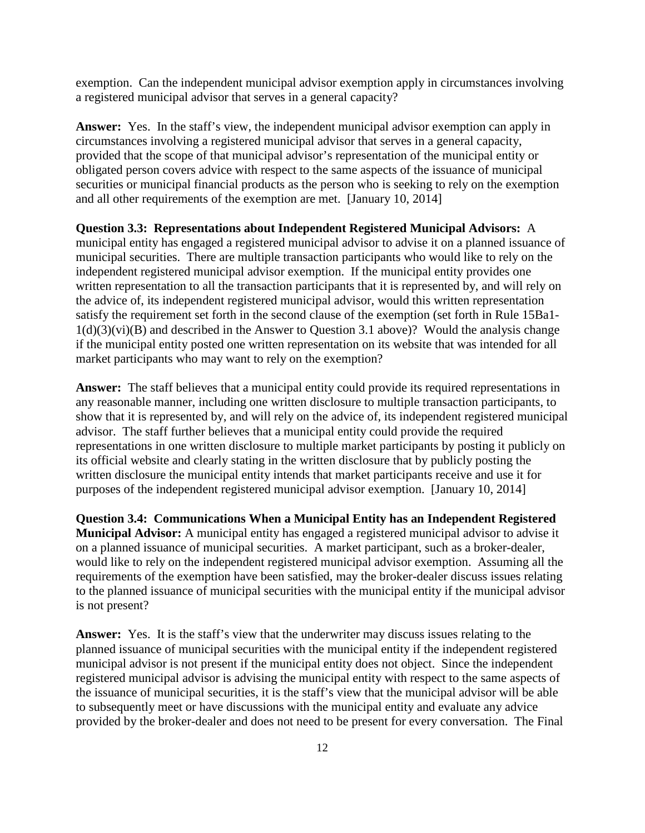exemption. Can the independent municipal advisor exemption apply in circumstances involving a registered municipal advisor that serves in a general capacity?

**Answer:** Yes. In the staff's view, the independent municipal advisor exemption can apply in circumstances involving a registered municipal advisor that serves in a general capacity, provided that the scope of that municipal advisor's representation of the municipal entity or obligated person covers advice with respect to the same aspects of the issuance of municipal securities or municipal financial products as the person who is seeking to rely on the exemption and all other requirements of the exemption are met. [January 10, 2014]

**Question 3.3: Representations about Independent Registered Municipal Advisors:** A municipal entity has engaged a registered municipal advisor to advise it on a planned issuance of municipal securities. There are multiple transaction participants who would like to rely on the independent registered municipal advisor exemption. If the municipal entity provides one written representation to all the transaction participants that it is represented by, and will rely on the advice of, its independent registered municipal advisor, would this written representation satisfy the requirement set forth in the second clause of the exemption (set forth in Rule 15Ba1-  $1(d)(3)(vi)(B)$  and described in the Answer to Question 3.1 above)? Would the analysis change if the municipal entity posted one written representation on its website that was intended for all market participants who may want to rely on the exemption?

**Answer:** The staff believes that a municipal entity could provide its required representations in any reasonable manner, including one written disclosure to multiple transaction participants, to show that it is represented by, and will rely on the advice of, its independent registered municipal advisor. The staff further believes that a municipal entity could provide the required representations in one written disclosure to multiple market participants by posting it publicly on its official website and clearly stating in the written disclosure that by publicly posting the written disclosure the municipal entity intends that market participants receive and use it for purposes of the independent registered municipal advisor exemption. [January 10, 2014]

**Question 3.4: Communications When a Municipal Entity has an Independent Registered Municipal Advisor:** A municipal entity has engaged a registered municipal advisor to advise it on a planned issuance of municipal securities. A market participant, such as a broker-dealer, would like to rely on the independent registered municipal advisor exemption. Assuming all the requirements of the exemption have been satisfied, may the broker-dealer discuss issues relating to the planned issuance of municipal securities with the municipal entity if the municipal advisor is not present?

**Answer:** Yes. It is the staff's view that the underwriter may discuss issues relating to the planned issuance of municipal securities with the municipal entity if the independent registered municipal advisor is not present if the municipal entity does not object. Since the independent registered municipal advisor is advising the municipal entity with respect to the same aspects of the issuance of municipal securities, it is the staff's view that the municipal advisor will be able to subsequently meet or have discussions with the municipal entity and evaluate any advice provided by the broker-dealer and does not need to be present for every conversation. The Final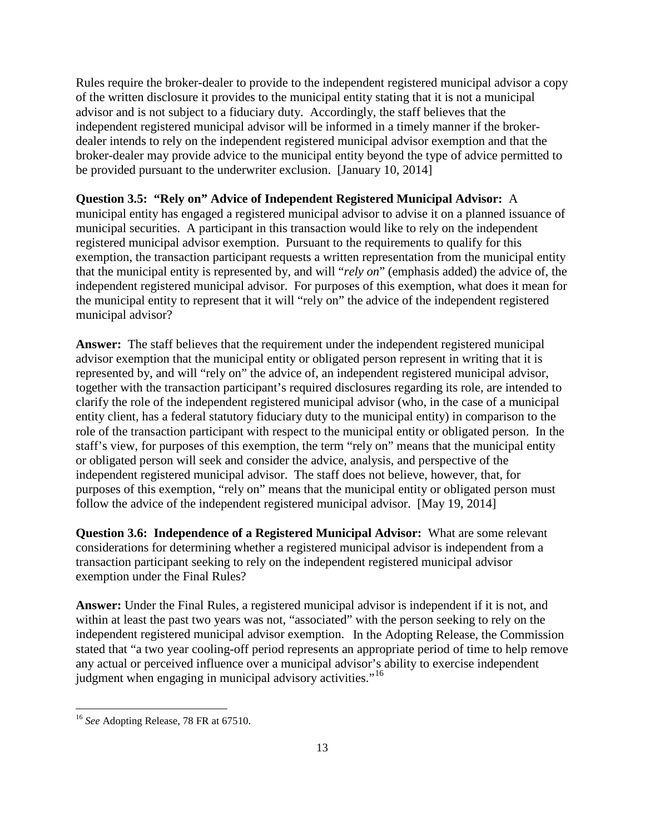Rules require the broker-dealer to provide to the independent registered municipal advisor a copy of the written disclosure it provides to the municipal entity stating that it is not a municipal advisor and is not subject to a fiduciary duty. Accordingly, the staff believes that the independent registered municipal advisor will be informed in a timely manner if the brokerdealer intends to rely on the independent registered municipal advisor exemption and that the broker-dealer may provide advice to the municipal entity beyond the type of advice permitted to be provided pursuant to the underwriter exclusion. [January 10, 2014]

# **Question 3.5: "Rely on" Advice of Independent Registered Municipal Advisor:** A

municipal entity has engaged a registered municipal advisor to advise it on a planned issuance of municipal securities. A participant in this transaction would like to rely on the independent registered municipal advisor exemption. Pursuant to the requirements to qualify for this exemption, the transaction participant requests a written representation from the municipal entity that the municipal entity is represented by, and will "*rely on*" (emphasis added) the advice of, the independent registered municipal advisor. For purposes of this exemption, what does it mean for the municipal entity to represent that it will "rely on" the advice of the independent registered municipal advisor?

**Answer:** The staff believes that the requirement under the independent registered municipal advisor exemption that the municipal entity or obligated person represent in writing that it is represented by, and will "rely on" the advice of, an independent registered municipal advisor, together with the transaction participant's required disclosures regarding its role, are intended to clarify the role of the independent registered municipal advisor (who, in the case of a municipal entity client, has a federal statutory fiduciary duty to the municipal entity) in comparison to the role of the transaction participant with respect to the municipal entity or obligated person. In the staff's view, for purposes of this exemption, the term "rely on" means that the municipal entity or obligated person will seek and consider the advice, analysis, and perspective of the independent registered municipal advisor. The staff does not believe, however, that, for purposes of this exemption, "rely on" means that the municipal entity or obligated person must follow the advice of the independent registered municipal advisor. [May 19, 2014]

**Question 3.6: Independence of a Registered Municipal Advisor:** What are some relevant considerations for determining whether a registered municipal advisor is independent from a transaction participant seeking to rely on the independent registered municipal advisor exemption under the Final Rules?

**Answer:** Under the Final Rules, a registered municipal advisor is independent if it is not, and within at least the past two years was not, "associated" with the person seeking to rely on the independent registered municipal advisor exemption. In the Adopting Release, the Commission stated that "a two year cooling-off period represents an appropriate period of time to help remove any actual or perceived influence over a municipal advisor's ability to exercise independent judgment when engaging in municipal advisory activities."<sup>[16](#page-12-0)</sup>

<span id="page-12-0"></span><sup>16</sup> *See* Adopting Release, 78 FR at 67510.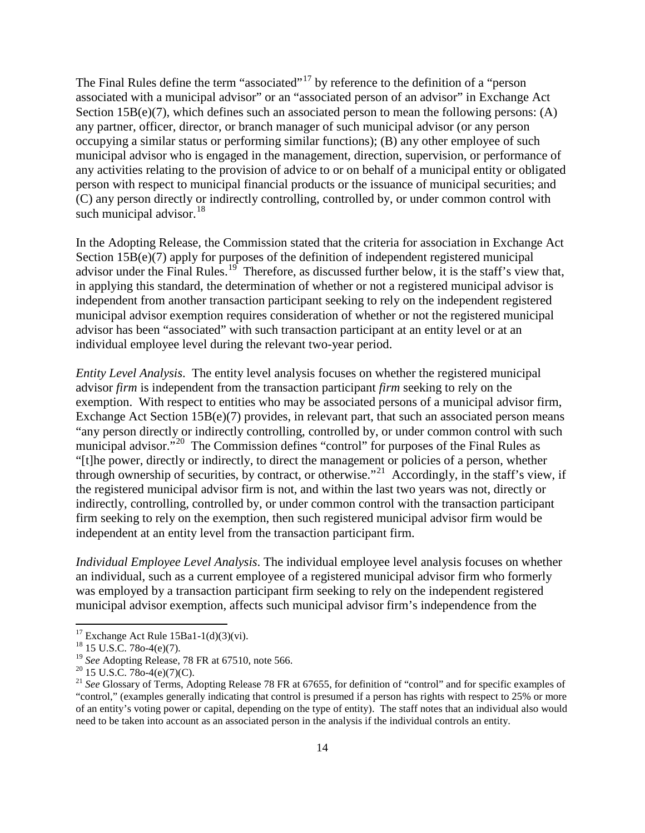The Final Rules define the term "associated"<sup>[17](#page-13-0)</sup> by reference to the definition of a "person" associated with a municipal advisor" or an "associated person of an advisor" in Exchange Act Section  $15B(e)(7)$ , which defines such an associated person to mean the following persons: (A) any partner, officer, director, or branch manager of such municipal advisor (or any person occupying a similar status or performing similar functions); (B) any other employee of such municipal advisor who is engaged in the management, direction, supervision, or performance of any activities relating to the provision of advice to or on behalf of a municipal entity or obligated person with respect to municipal financial products or the issuance of municipal securities; and (C) any person directly or indirectly controlling, controlled by, or under common control with such municipal advisor.<sup>[18](#page-13-1)</sup>

In the Adopting Release, the Commission stated that the criteria for association in Exchange Act Section 15B(e)(7) apply for purposes of the definition of independent registered municipal advisor under the Final Rules.<sup>[19](#page-13-2)</sup> Therefore, as discussed further below, it is the staff's view that, in applying this standard, the determination of whether or not a registered municipal advisor is independent from another transaction participant seeking to rely on the independent registered municipal advisor exemption requires consideration of whether or not the registered municipal advisor has been "associated" with such transaction participant at an entity level or at an individual employee level during the relevant two-year period.

*Entity Level Analysis*. The entity level analysis focuses on whether the registered municipal advisor *firm* is independent from the transaction participant *firm* seeking to rely on the exemption. With respect to entities who may be associated persons of a municipal advisor firm, Exchange Act Section 15B(e)(7) provides, in relevant part, that such an associated person means "any person directly or indirectly controlling, controlled by, or under common control with such municipal advisor.<sup>"[20](#page-13-3)</sup> The Commission defines "control" for purposes of the Final Rules as "[t]he power, directly or indirectly, to direct the management or policies of a person, whether through ownership of securities, by contract, or otherwise."<sup>[21](#page-13-4)</sup> Accordingly, in the staff's view, if the registered municipal advisor firm is not, and within the last two years was not, directly or indirectly, controlling, controlled by, or under common control with the transaction participant firm seeking to rely on the exemption, then such registered municipal advisor firm would be independent at an entity level from the transaction participant firm.

*Individual Employee Level Analysis*. The individual employee level analysis focuses on whether an individual, such as a current employee of a registered municipal advisor firm who formerly was employed by a transaction participant firm seeking to rely on the independent registered municipal advisor exemption, affects such municipal advisor firm's independence from the

<span id="page-13-1"></span>

<span id="page-13-0"></span><sup>&</sup>lt;sup>17</sup> Exchange Act Rule 15Ba1-1(d)(3)(vi).<br><sup>18</sup> 15 U.S.C. 78o-4(e)(7).<br><sup>19</sup> *See* Adopting Release, 78 FR at 67510, note 566.

<span id="page-13-4"></span><span id="page-13-3"></span><span id="page-13-2"></span><sup>&</sup>lt;sup>20</sup> 15 U.S.C. 78o-4(e)(7)(C).<br><sup>21</sup> *See* Glossary of Terms, Adopting Release 78 FR at 67655, for definition of "control" and for specific examples of "control," (examples generally indicating that control is presumed if a person has rights with respect to 25% or more of an entity's voting power or capital, depending on the type of entity). The staff notes that an individual also would need to be taken into account as an associated person in the analysis if the individual controls an entity.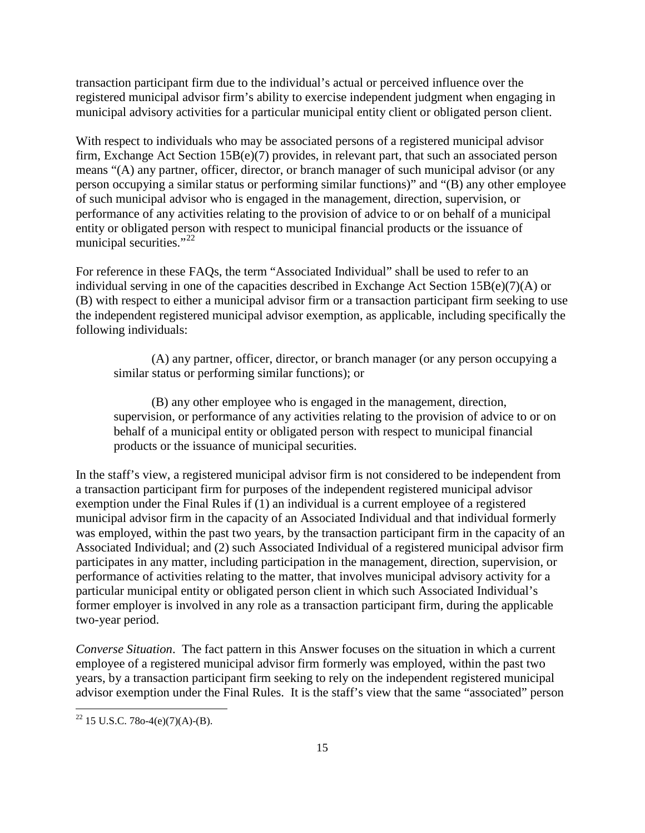transaction participant firm due to the individual's actual or perceived influence over the registered municipal advisor firm's ability to exercise independent judgment when engaging in municipal advisory activities for a particular municipal entity client or obligated person client.

With respect to individuals who may be associated persons of a registered municipal advisor firm, Exchange Act Section 15B(e)(7) provides, in relevant part, that such an associated person means "(A) any partner, officer, director, or branch manager of such municipal advisor (or any person occupying a similar status or performing similar functions)" and "(B) any other employee of such municipal advisor who is engaged in the management, direction, supervision, or performance of any activities relating to the provision of advice to or on behalf of a municipal entity or obligated person with respect to municipal financial products or the issuance of municipal securities."<sup>[22](#page-14-0)</sup>

For reference in these FAQs, the term "Associated Individual" shall be used to refer to an individual serving in one of the capacities described in Exchange Act Section 15B(e)(7)(A) or (B) with respect to either a municipal advisor firm or a transaction participant firm seeking to use the independent registered municipal advisor exemption, as applicable, including specifically the following individuals:

(A) any partner, officer, director, or branch manager (or any person occupying a similar status or performing similar functions); or

(B) any other employee who is engaged in the management, direction, supervision, or performance of any activities relating to the provision of advice to or on behalf of a municipal entity or obligated person with respect to municipal financial products or the issuance of municipal securities.

In the staff's view, a registered municipal advisor firm is not considered to be independent from a transaction participant firm for purposes of the independent registered municipal advisor exemption under the Final Rules if (1) an individual is a current employee of a registered municipal advisor firm in the capacity of an Associated Individual and that individual formerly was employed, within the past two years, by the transaction participant firm in the capacity of an Associated Individual; and (2) such Associated Individual of a registered municipal advisor firm participates in any matter, including participation in the management, direction, supervision, or performance of activities relating to the matter, that involves municipal advisory activity for a particular municipal entity or obligated person client in which such Associated Individual's former employer is involved in any role as a transaction participant firm, during the applicable two-year period.

*Converse Situation*. The fact pattern in this Answer focuses on the situation in which a current employee of a registered municipal advisor firm formerly was employed, within the past two years, by a transaction participant firm seeking to rely on the independent registered municipal advisor exemption under the Final Rules. It is the staff's view that the same "associated" person

<span id="page-14-0"></span><sup>&</sup>lt;sup>22</sup> 15 U.S.C. 78o-4(e)(7)(A)-(B).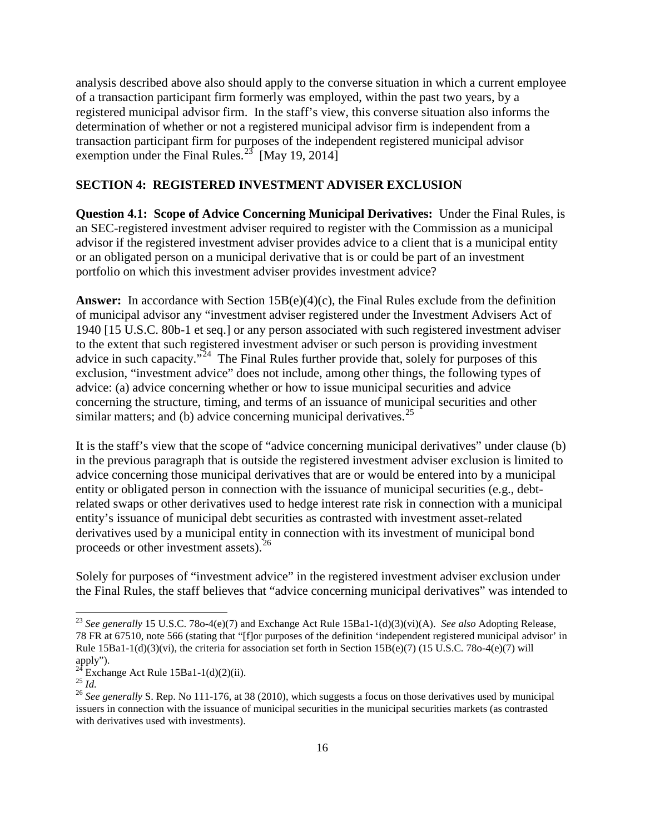analysis described above also should apply to the converse situation in which a current employee of a transaction participant firm formerly was employed, within the past two years, by a registered municipal advisor firm. In the staff's view, this converse situation also informs the determination of whether or not a registered municipal advisor firm is independent from a transaction participant firm for purposes of the independent registered municipal advisor exemption under the Final Rules.<sup>[23](#page-15-0)</sup> [May 19, 2014]

## **SECTION 4: REGISTERED INVESTMENT ADVISER EXCLUSION**

**Question 4.1: Scope of Advice Concerning Municipal Derivatives:** Under the Final Rules, is an SEC-registered investment adviser required to register with the Commission as a municipal advisor if the registered investment adviser provides advice to a client that is a municipal entity or an obligated person on a municipal derivative that is or could be part of an investment portfolio on which this investment adviser provides investment advice?

**Answer:** In accordance with Section 15B(e)(4)(c), the Final Rules exclude from the definition of municipal advisor any "investment adviser registered under the Investment Advisers Act of 1940 [15 U.S.C. 80b-1 et seq.] or any person associated with such registered investment adviser to the extent that such registered investment adviser or such person is providing investment advice in such capacity. $\sqrt{24}$  The Final Rules further provide that, solely for purposes of this exclusion, "investment advice" does not include, among other things, the following types of advice: (a) advice concerning whether or how to issue municipal securities and advice concerning the structure, timing, and terms of an issuance of municipal securities and other similar matters; and (b) advice concerning municipal derivatives.<sup>[25](#page-15-2)</sup>

It is the staff's view that the scope of "advice concerning municipal derivatives" under clause (b) in the previous paragraph that is outside the registered investment adviser exclusion is limited to advice concerning those municipal derivatives that are or would be entered into by a municipal entity or obligated person in connection with the issuance of municipal securities (e.g., debtrelated swaps or other derivatives used to hedge interest rate risk in connection with a municipal entity's issuance of municipal debt securities as contrasted with investment asset-related derivatives used by a municipal entity in connection with its investment of municipal bond proceeds or other investment assets).[26](#page-15-3)

Solely for purposes of "investment advice" in the registered investment adviser exclusion under the Final Rules, the staff believes that "advice concerning municipal derivatives" was intended to

<span id="page-15-0"></span><sup>23</sup> *See generally* 15 U.S.C. 78o-4(e)(7) and Exchange Act Rule 15Ba1-1(d)(3)(vi)(A). *See also* Adopting Release, 78 FR at 67510, note 566 (stating that "[f]or purposes of the definition 'independent registered municipal advisor' in Rule  $15Ba1-1(d)(3)(vi)$ , the criteria for association set forth in Section  $15B(e)(7)$  (15 U.S.C. 78o-4(e)(7) will apply").<br><sup>24</sup> Exchange Act Rule 15Ba1-1(d)(2)(ii).

<span id="page-15-3"></span><span id="page-15-2"></span><span id="page-15-1"></span><sup>25</sup> *Id.*<br><sup>25</sup> *Id.* 26 *See generally* S. Rep. No 111-176, at 38 (2010), which suggests a focus on those derivatives used by municipal issuers in connection with the issuance of municipal securities in the municipal securities markets (as contrasted with derivatives used with investments).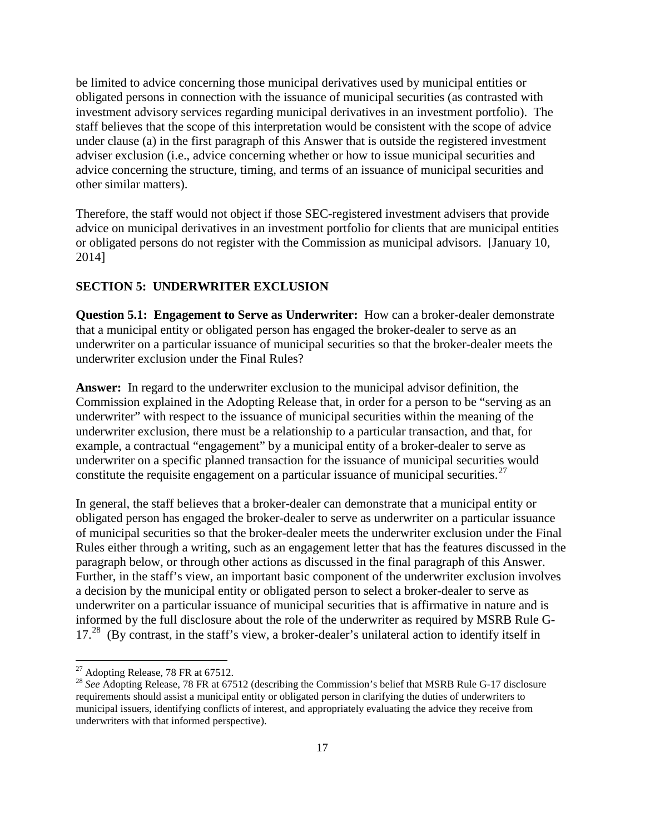be limited to advice concerning those municipal derivatives used by municipal entities or obligated persons in connection with the issuance of municipal securities (as contrasted with investment advisory services regarding municipal derivatives in an investment portfolio). The staff believes that the scope of this interpretation would be consistent with the scope of advice under clause (a) in the first paragraph of this Answer that is outside the registered investment adviser exclusion (i.e., advice concerning whether or how to issue municipal securities and advice concerning the structure, timing, and terms of an issuance of municipal securities and other similar matters).

Therefore, the staff would not object if those SEC-registered investment advisers that provide advice on municipal derivatives in an investment portfolio for clients that are municipal entities or obligated persons do not register with the Commission as municipal advisors. [January 10, 2014]

### **SECTION 5: UNDERWRITER EXCLUSION**

**Question 5.1: Engagement to Serve as Underwriter:** How can a broker-dealer demonstrate that a municipal entity or obligated person has engaged the broker-dealer to serve as an underwriter on a particular issuance of municipal securities so that the broker-dealer meets the underwriter exclusion under the Final Rules?

**Answer:** In regard to the underwriter exclusion to the municipal advisor definition, the Commission explained in the Adopting Release that, in order for a person to be "serving as an underwriter" with respect to the issuance of municipal securities within the meaning of the underwriter exclusion, there must be a relationship to a particular transaction, and that, for example, a contractual "engagement" by a municipal entity of a broker-dealer to serve as underwriter on a specific planned transaction for the issuance of municipal securities would constitute the requisite engagement on a particular issuance of municipal securities.<sup>27</sup>

In general, the staff believes that a broker-dealer can demonstrate that a municipal entity or obligated person has engaged the broker-dealer to serve as underwriter on a particular issuance of municipal securities so that the broker-dealer meets the underwriter exclusion under the Final Rules either through a writing, such as an engagement letter that has the features discussed in the paragraph below, or through other actions as discussed in the final paragraph of this Answer. Further, in the staff's view, an important basic component of the underwriter exclusion involves a decision by the municipal entity or obligated person to select a broker-dealer to serve as underwriter on a particular issuance of municipal securities that is affirmative in nature and is informed by the full disclosure about the role of the underwriter as required by MSRB Rule G-17.<sup>28</sup> (By contrast, in the staff's view, a broker-dealer's unilateral action to identify itself in

<span id="page-16-1"></span><span id="page-16-0"></span><sup>&</sup>lt;sup>27</sup> Adopting Release, 78 FR at 67512.<br><sup>28</sup> *See* Adopting Release, 78 FR at 67512 (describing the Commission's belief that MSRB Rule G-17 disclosure requirements should assist a municipal entity or obligated person in clarifying the duties of underwriters to municipal issuers, identifying conflicts of interest, and appropriately evaluating the advice they receive from underwriters with that informed perspective).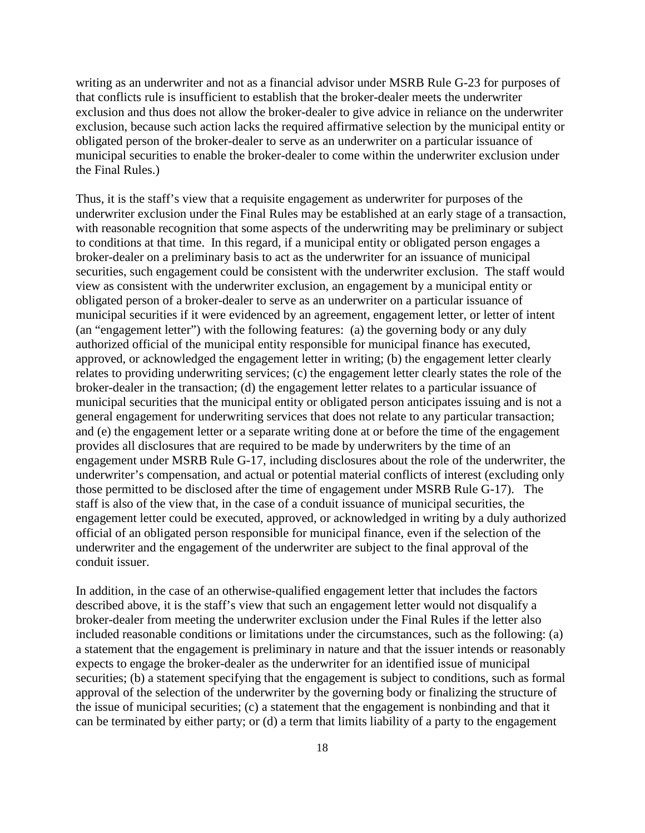writing as an underwriter and not as a financial advisor under MSRB Rule G-23 for purposes of that conflicts rule is insufficient to establish that the broker-dealer meets the underwriter exclusion and thus does not allow the broker-dealer to give advice in reliance on the underwriter exclusion, because such action lacks the required affirmative selection by the municipal entity or obligated person of the broker-dealer to serve as an underwriter on a particular issuance of municipal securities to enable the broker-dealer to come within the underwriter exclusion under the Final Rules.)

Thus, it is the staff's view that a requisite engagement as underwriter for purposes of the underwriter exclusion under the Final Rules may be established at an early stage of a transaction, with reasonable recognition that some aspects of the underwriting may be preliminary or subject to conditions at that time. In this regard, if a municipal entity or obligated person engages a broker-dealer on a preliminary basis to act as the underwriter for an issuance of municipal securities, such engagement could be consistent with the underwriter exclusion. The staff would view as consistent with the underwriter exclusion, an engagement by a municipal entity or obligated person of a broker-dealer to serve as an underwriter on a particular issuance of municipal securities if it were evidenced by an agreement, engagement letter, or letter of intent (an "engagement letter") with the following features: (a) the governing body or any duly authorized official of the municipal entity responsible for municipal finance has executed, approved, or acknowledged the engagement letter in writing; (b) the engagement letter clearly relates to providing underwriting services; (c) the engagement letter clearly states the role of the broker-dealer in the transaction; (d) the engagement letter relates to a particular issuance of municipal securities that the municipal entity or obligated person anticipates issuing and is not a general engagement for underwriting services that does not relate to any particular transaction; and (e) the engagement letter or a separate writing done at or before the time of the engagement provides all disclosures that are required to be made by underwriters by the time of an engagement under MSRB Rule G-17, including disclosures about the role of the underwriter, the underwriter's compensation, and actual or potential material conflicts of interest (excluding only those permitted to be disclosed after the time of engagement under MSRB Rule G-17). The staff is also of the view that, in the case of a conduit issuance of municipal securities, the engagement letter could be executed, approved, or acknowledged in writing by a duly authorized official of an obligated person responsible for municipal finance, even if the selection of the underwriter and the engagement of the underwriter are subject to the final approval of the conduit issuer.

In addition, in the case of an otherwise-qualified engagement letter that includes the factors described above, it is the staff's view that such an engagement letter would not disqualify a broker-dealer from meeting the underwriter exclusion under the Final Rules if the letter also included reasonable conditions or limitations under the circumstances, such as the following: (a) a statement that the engagement is preliminary in nature and that the issuer intends or reasonably expects to engage the broker-dealer as the underwriter for an identified issue of municipal securities; (b) a statement specifying that the engagement is subject to conditions, such as formal approval of the selection of the underwriter by the governing body or finalizing the structure of the issue of municipal securities; (c) a statement that the engagement is nonbinding and that it can be terminated by either party; or (d) a term that limits liability of a party to the engagement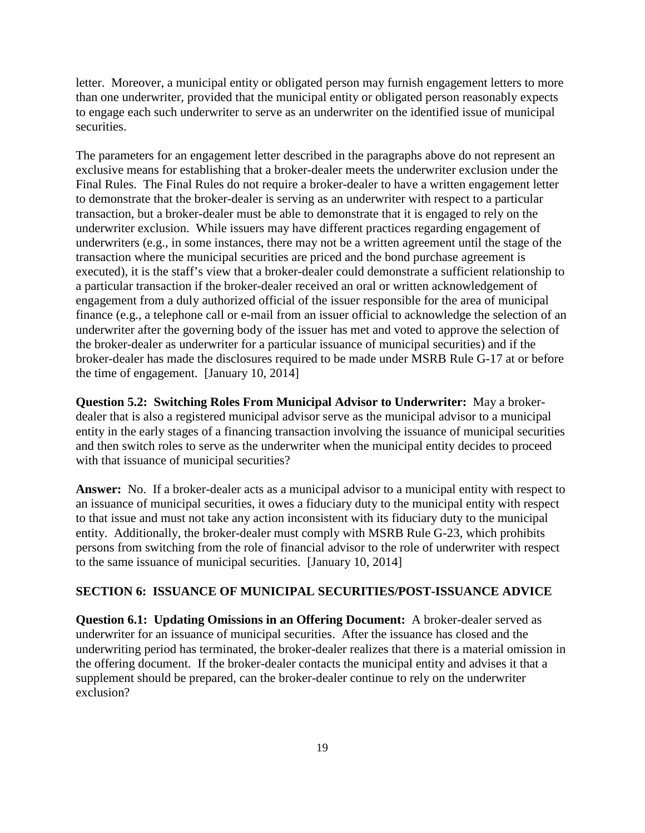letter. Moreover, a municipal entity or obligated person may furnish engagement letters to more than one underwriter, provided that the municipal entity or obligated person reasonably expects to engage each such underwriter to serve as an underwriter on the identified issue of municipal securities.

The parameters for an engagement letter described in the paragraphs above do not represent an exclusive means for establishing that a broker-dealer meets the underwriter exclusion under the Final Rules. The Final Rules do not require a broker-dealer to have a written engagement letter to demonstrate that the broker-dealer is serving as an underwriter with respect to a particular transaction, but a broker-dealer must be able to demonstrate that it is engaged to rely on the underwriter exclusion. While issuers may have different practices regarding engagement of underwriters (e.g., in some instances, there may not be a written agreement until the stage of the transaction where the municipal securities are priced and the bond purchase agreement is executed), it is the staff's view that a broker-dealer could demonstrate a sufficient relationship to a particular transaction if the broker-dealer received an oral or written acknowledgement of engagement from a duly authorized official of the issuer responsible for the area of municipal finance (e.g., a telephone call or e-mail from an issuer official to acknowledge the selection of an underwriter after the governing body of the issuer has met and voted to approve the selection of the broker-dealer as underwriter for a particular issuance of municipal securities) and if the broker-dealer has made the disclosures required to be made under MSRB Rule G-17 at or before the time of engagement. [January 10, 2014]

**Question 5.2: Switching Roles From Municipal Advisor to Underwriter:** May a brokerdealer that is also a registered municipal advisor serve as the municipal advisor to a municipal entity in the early stages of a financing transaction involving the issuance of municipal securities and then switch roles to serve as the underwriter when the municipal entity decides to proceed with that issuance of municipal securities?

**Answer:** No. If a broker-dealer acts as a municipal advisor to a municipal entity with respect to an issuance of municipal securities, it owes a fiduciary duty to the municipal entity with respect to that issue and must not take any action inconsistent with its fiduciary duty to the municipal entity. Additionally, the broker-dealer must comply with MSRB Rule G-23, which prohibits persons from switching from the role of financial advisor to the role of underwriter with respect to the same issuance of municipal securities. [January 10, 2014]

## **SECTION 6: ISSUANCE OF MUNICIPAL SECURITIES/POST-ISSUANCE ADVICE**

**Question 6.1: Updating Omissions in an Offering Document:** A broker-dealer served as underwriter for an issuance of municipal securities. After the issuance has closed and the underwriting period has terminated, the broker-dealer realizes that there is a material omission in the offering document. If the broker-dealer contacts the municipal entity and advises it that a supplement should be prepared, can the broker-dealer continue to rely on the underwriter exclusion?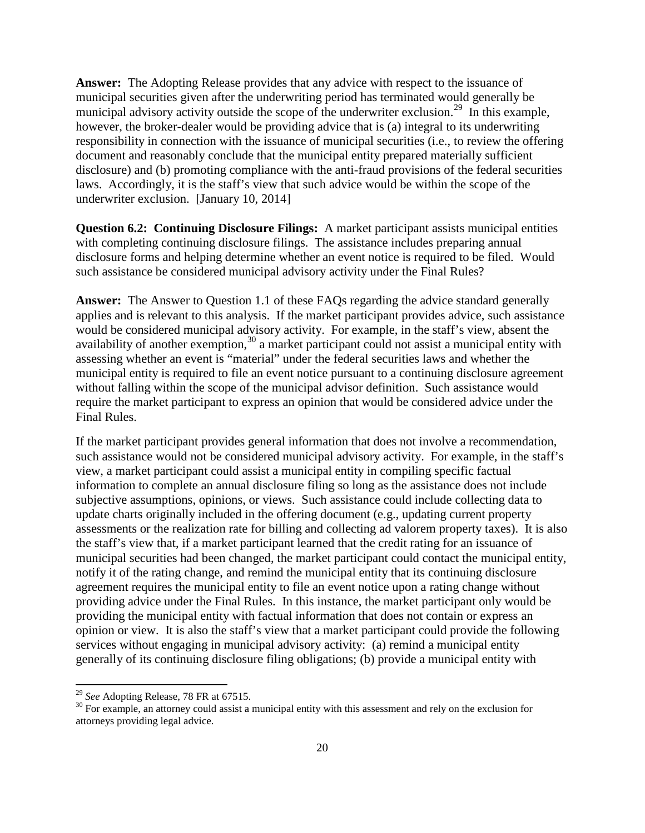**Answer:** The Adopting Release provides that any advice with respect to the issuance of municipal securities given after the underwriting period has terminated would generally be municipal advisory activity outside the scope of the underwriter exclusion.<sup>[29](#page-19-0)</sup> In this example, however, the broker-dealer would be providing advice that is (a) integral to its underwriting responsibility in connection with the issuance of municipal securities (i.e., to review the offering document and reasonably conclude that the municipal entity prepared materially sufficient disclosure) and (b) promoting compliance with the anti-fraud provisions of the federal securities laws. Accordingly, it is the staff's view that such advice would be within the scope of the underwriter exclusion. [January 10, 2014]

**Question 6.2: Continuing Disclosure Filings:** A market participant assists municipal entities with completing continuing disclosure filings. The assistance includes preparing annual disclosure forms and helping determine whether an event notice is required to be filed. Would such assistance be considered municipal advisory activity under the Final Rules?

**Answer:** The Answer to Question 1.1 of these FAQs regarding the advice standard generally applies and is relevant to this analysis. If the market participant provides advice, such assistance would be considered municipal advisory activity. For example, in the staff's view, absent the availability of another exemption,<sup>[30](#page-19-1)</sup> a market participant could not assist a municipal entity with assessing whether an event is "material" under the federal securities laws and whether the municipal entity is required to file an event notice pursuant to a continuing disclosure agreement without falling within the scope of the municipal advisor definition. Such assistance would require the market participant to express an opinion that would be considered advice under the Final Rules.

If the market participant provides general information that does not involve a recommendation, such assistance would not be considered municipal advisory activity. For example, in the staff's view, a market participant could assist a municipal entity in compiling specific factual information to complete an annual disclosure filing so long as the assistance does not include subjective assumptions, opinions, or views. Such assistance could include collecting data to update charts originally included in the offering document (e.g., updating current property assessments or the realization rate for billing and collecting ad valorem property taxes). It is also the staff's view that, if a market participant learned that the credit rating for an issuance of municipal securities had been changed, the market participant could contact the municipal entity, notify it of the rating change, and remind the municipal entity that its continuing disclosure agreement requires the municipal entity to file an event notice upon a rating change without providing advice under the Final Rules. In this instance, the market participant only would be providing the municipal entity with factual information that does not contain or express an opinion or view. It is also the staff's view that a market participant could provide the following services without engaging in municipal advisory activity: (a) remind a municipal entity generally of its continuing disclosure filing obligations; (b) provide a municipal entity with

<span id="page-19-1"></span><span id="page-19-0"></span><sup>&</sup>lt;sup>29</sup> *See* Adopting Release, 78 FR at 67515.<br><sup>30</sup> For example, an attorney could assist a municipal entity with this assessment and rely on the exclusion for attorneys providing legal advice.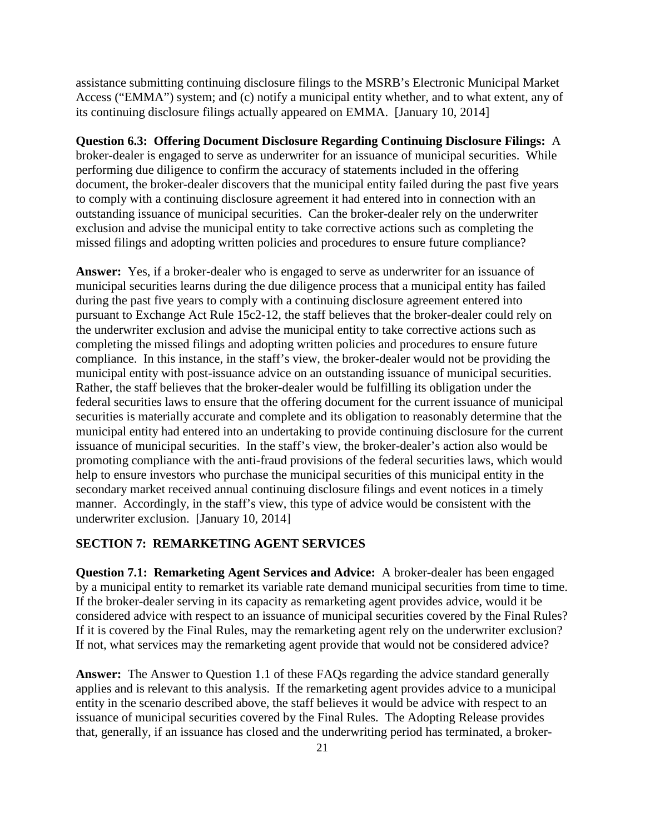assistance submitting continuing disclosure filings to the MSRB's Electronic Municipal Market Access ("EMMA") system; and (c) notify a municipal entity whether, and to what extent, any of its continuing disclosure filings actually appeared on EMMA. [January 10, 2014]

**Question 6.3: Offering Document Disclosure Regarding Continuing Disclosure Filings:** A broker-dealer is engaged to serve as underwriter for an issuance of municipal securities. While performing due diligence to confirm the accuracy of statements included in the offering document, the broker-dealer discovers that the municipal entity failed during the past five years to comply with a continuing disclosure agreement it had entered into in connection with an outstanding issuance of municipal securities. Can the broker-dealer rely on the underwriter exclusion and advise the municipal entity to take corrective actions such as completing the missed filings and adopting written policies and procedures to ensure future compliance?

**Answer:** Yes, if a broker-dealer who is engaged to serve as underwriter for an issuance of municipal securities learns during the due diligence process that a municipal entity has failed during the past five years to comply with a continuing disclosure agreement entered into pursuant to Exchange Act Rule 15c2-12, the staff believes that the broker-dealer could rely on the underwriter exclusion and advise the municipal entity to take corrective actions such as completing the missed filings and adopting written policies and procedures to ensure future compliance. In this instance, in the staff's view, the broker-dealer would not be providing the municipal entity with post-issuance advice on an outstanding issuance of municipal securities. Rather, the staff believes that the broker-dealer would be fulfilling its obligation under the federal securities laws to ensure that the offering document for the current issuance of municipal securities is materially accurate and complete and its obligation to reasonably determine that the municipal entity had entered into an undertaking to provide continuing disclosure for the current issuance of municipal securities. In the staff's view, the broker-dealer's action also would be promoting compliance with the anti-fraud provisions of the federal securities laws, which would help to ensure investors who purchase the municipal securities of this municipal entity in the secondary market received annual continuing disclosure filings and event notices in a timely manner. Accordingly, in the staff's view, this type of advice would be consistent with the underwriter exclusion. [January 10, 2014]

### **SECTION 7: REMARKETING AGENT SERVICES**

**Question 7.1: Remarketing Agent Services and Advice:** A broker-dealer has been engaged by a municipal entity to remarket its variable rate demand municipal securities from time to time. If the broker-dealer serving in its capacity as remarketing agent provides advice, would it be considered advice with respect to an issuance of municipal securities covered by the Final Rules? If it is covered by the Final Rules, may the remarketing agent rely on the underwriter exclusion? If not, what services may the remarketing agent provide that would not be considered advice?

**Answer:** The Answer to Question 1.1 of these FAQs regarding the advice standard generally applies and is relevant to this analysis. If the remarketing agent provides advice to a municipal entity in the scenario described above, the staff believes it would be advice with respect to an issuance of municipal securities covered by the Final Rules. The Adopting Release provides that, generally, if an issuance has closed and the underwriting period has terminated, a broker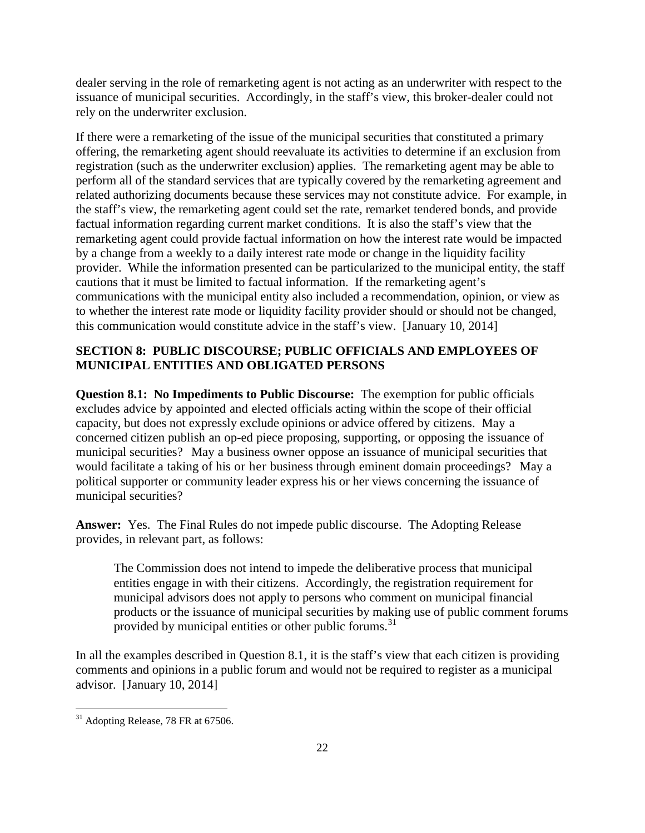dealer serving in the role of remarketing agent is not acting as an underwriter with respect to the issuance of municipal securities. Accordingly, in the staff's view, this broker-dealer could not rely on the underwriter exclusion.

If there were a remarketing of the issue of the municipal securities that constituted a primary offering, the remarketing agent should reevaluate its activities to determine if an exclusion from registration (such as the underwriter exclusion) applies. The remarketing agent may be able to perform all of the standard services that are typically covered by the remarketing agreement and related authorizing documents because these services may not constitute advice. For example, in the staff's view, the remarketing agent could set the rate, remarket tendered bonds, and provide factual information regarding current market conditions. It is also the staff's view that the remarketing agent could provide factual information on how the interest rate would be impacted by a change from a weekly to a daily interest rate mode or change in the liquidity facility provider. While the information presented can be particularized to the municipal entity, the staff cautions that it must be limited to factual information. If the remarketing agent's communications with the municipal entity also included a recommendation, opinion, or view as to whether the interest rate mode or liquidity facility provider should or should not be changed, this communication would constitute advice in the staff's view. [January 10, 2014]

# **SECTION 8: PUBLIC DISCOURSE; PUBLIC OFFICIALS AND EMPLOYEES OF MUNICIPAL ENTITIES AND OBLIGATED PERSONS**

**Question 8.1: No Impediments to Public Discourse:** The exemption for public officials excludes advice by appointed and elected officials acting within the scope of their official capacity, but does not expressly exclude opinions or advice offered by citizens. May a concerned citizen publish an op-ed piece proposing, supporting, or opposing the issuance of municipal securities? May a business owner oppose an issuance of municipal securities that would facilitate a taking of his or her business through eminent domain proceedings? May a political supporter or community leader express his or her views concerning the issuance of municipal securities?

**Answer:** Yes. The Final Rules do not impede public discourse. The Adopting Release provides, in relevant part, as follows:

The Commission does not intend to impede the deliberative process that municipal entities engage in with their citizens. Accordingly, the registration requirement for municipal advisors does not apply to persons who comment on municipal financial products or the issuance of municipal securities by making use of public comment forums provided by municipal entities or other public forums.<sup>[31](#page-21-0)</sup>

In all the examples described in Question 8.1, it is the staff's view that each citizen is providing comments and opinions in a public forum and would not be required to register as a municipal advisor. [January 10, 2014]

<span id="page-21-0"></span><sup>&</sup>lt;sup>31</sup> Adopting Release, 78 FR at 67506.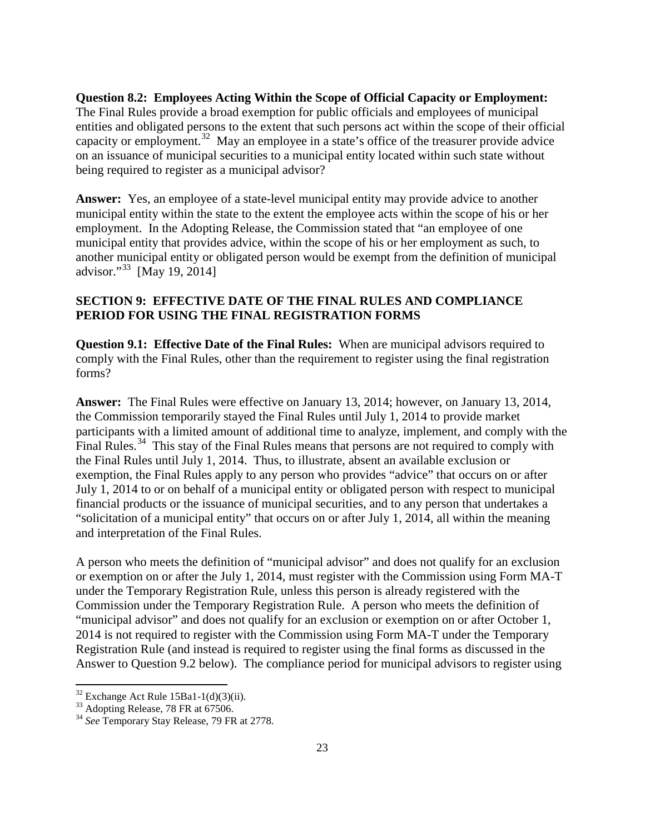**Question 8.2: Employees Acting Within the Scope of Official Capacity or Employment:** The Final Rules provide a broad exemption for public officials and employees of municipal entities and obligated persons to the extent that such persons act within the scope of their official capacity or employment.<sup>32</sup> May an employee in a state's office of the treasurer provide advice on an issuance of municipal securities to a municipal entity located within such state without being required to register as a municipal advisor?

**Answer:** Yes, an employee of a state-level municipal entity may provide advice to another municipal entity within the state to the extent the employee acts within the scope of his or her employment. In the Adopting Release, the Commission stated that "an employee of one municipal entity that provides advice, within the scope of his or her employment as such, to another municipal entity or obligated person would be exempt from the definition of municipal advisor."[33](#page-22-1) [May 19, 2014]

# **SECTION 9: EFFECTIVE DATE OF THE FINAL RULES AND COMPLIANCE PERIOD FOR USING THE FINAL REGISTRATION FORMS**

**Question 9.1: Effective Date of the Final Rules:** When are municipal advisors required to comply with the Final Rules, other than the requirement to register using the final registration forms?

**Answer:** The Final Rules were effective on January 13, 2014; however, on January 13, 2014, the Commission temporarily stayed the Final Rules until July 1, 2014 to provide market participants with a limited amount of additional time to analyze, implement, and comply with the Final Rules.<sup>34</sup> This stay of the Final Rules means that persons are not required to comply with the Final Rules until July 1, 2014. Thus, to illustrate, absent an available exclusion or exemption, the Final Rules apply to any person who provides "advice" that occurs on or after July 1, 2014 to or on behalf of a municipal entity or obligated person with respect to municipal financial products or the issuance of municipal securities, and to any person that undertakes a "solicitation of a municipal entity" that occurs on or after July 1, 2014, all within the meaning and interpretation of the Final Rules.

A person who meets the definition of "municipal advisor" and does not qualify for an exclusion or exemption on or after the July 1, 2014, must register with the Commission using Form MA-T under the Temporary Registration Rule, unless this person is already registered with the Commission under the Temporary Registration Rule. A person who meets the definition of "municipal advisor" and does not qualify for an exclusion or exemption on or after October 1, 2014 is not required to register with the Commission using Form MA-T under the Temporary Registration Rule (and instead is required to register using the final forms as discussed in the Answer to Question 9.2 below). The compliance period for municipal advisors to register using

<span id="page-22-2"></span><span id="page-22-1"></span>

<span id="page-22-0"></span><sup>&</sup>lt;sup>32</sup> Exchange Act Rule 15Ba1-1(d)(3)(ii).<br><sup>33</sup> Adopting Release, 78 FR at 67506.<br><sup>34</sup> *See* Temporary Stay Release, 79 FR at 2778.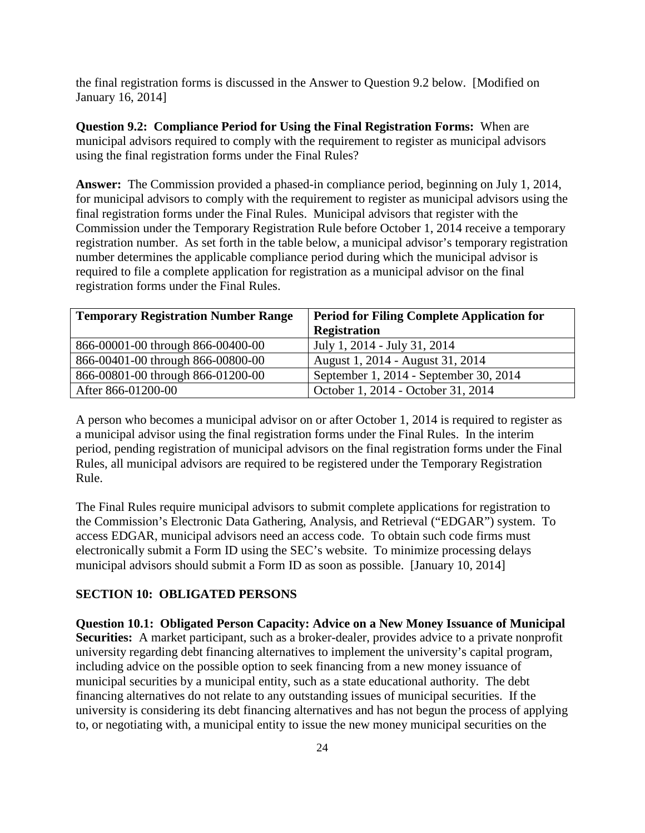the final registration forms is discussed in the Answer to Question 9.2 below. [Modified on January 16, 2014]

**Question 9.2: Compliance Period for Using the Final Registration Forms:** When are municipal advisors required to comply with the requirement to register as municipal advisors using the final registration forms under the Final Rules?

**Answer:** The Commission provided a phased-in compliance period, beginning on July 1, 2014, for municipal advisors to comply with the requirement to register as municipal advisors using the final registration forms under the Final Rules. Municipal advisors that register with the Commission under the Temporary Registration Rule before October 1, 2014 receive a temporary registration number. As set forth in the table below, a municipal advisor's temporary registration number determines the applicable compliance period during which the municipal advisor is required to file a complete application for registration as a municipal advisor on the final registration forms under the Final Rules.

| <b>Temporary Registration Number Range</b> | <b>Period for Filing Complete Application for</b> |
|--------------------------------------------|---------------------------------------------------|
|                                            | <b>Registration</b>                               |
| 866-00001-00 through 866-00400-00          | July 1, 2014 - July 31, 2014                      |
| 866-00401-00 through 866-00800-00          | August 1, 2014 - August 31, 2014                  |
| 866-00801-00 through 866-01200-00          | September 1, 2014 - September 30, 2014            |
| After 866-01200-00                         | October 1, 2014 - October 31, 2014                |

A person who becomes a municipal advisor on or after October 1, 2014 is required to register as a municipal advisor using the final registration forms under the Final Rules. In the interim period, pending registration of municipal advisors on the final registration forms under the Final Rules, all municipal advisors are required to be registered under the Temporary Registration Rule.

The Final Rules require municipal advisors to submit complete applications for registration to the Commission's Electronic Data Gathering, Analysis, and Retrieval ("EDGAR") system. To access EDGAR, municipal advisors need an access code. To obtain such code firms must electronically submit a Form ID using the SEC's website. To minimize processing delays municipal advisors should submit a Form ID as soon as possible. [January 10, 2014]

#### **SECTION 10: OBLIGATED PERSONS**

**Question 10.1: Obligated Person Capacity: Advice on a New Money Issuance of Municipal Securities:** A market participant, such as a broker-dealer, provides advice to a private nonprofit university regarding debt financing alternatives to implement the university's capital program, including advice on the possible option to seek financing from a new money issuance of municipal securities by a municipal entity, such as a state educational authority. The debt financing alternatives do not relate to any outstanding issues of municipal securities. If the university is considering its debt financing alternatives and has not begun the process of applying to, or negotiating with, a municipal entity to issue the new money municipal securities on the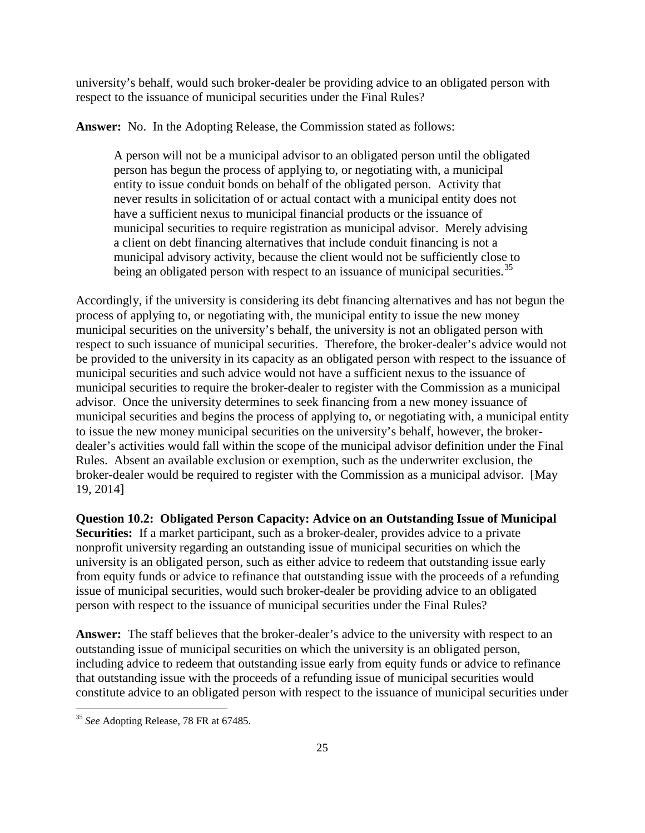university's behalf, would such broker-dealer be providing advice to an obligated person with respect to the issuance of municipal securities under the Final Rules?

**Answer:** No. In the Adopting Release, the Commission stated as follows:

A person will not be a municipal advisor to an obligated person until the obligated person has begun the process of applying to, or negotiating with, a municipal entity to issue conduit bonds on behalf of the obligated person. Activity that never results in solicitation of or actual contact with a municipal entity does not have a sufficient nexus to municipal financial products or the issuance of municipal securities to require registration as municipal advisor. Merely advising a client on debt financing alternatives that include conduit financing is not a municipal advisory activity, because the client would not be sufficiently close to being an obligated person with respect to an issuance of municipal securities.<sup>[35](#page-24-0)</sup>

Accordingly, if the university is considering its debt financing alternatives and has not begun the process of applying to, or negotiating with, the municipal entity to issue the new money municipal securities on the university's behalf, the university is not an obligated person with respect to such issuance of municipal securities. Therefore, the broker-dealer's advice would not be provided to the university in its capacity as an obligated person with respect to the issuance of municipal securities and such advice would not have a sufficient nexus to the issuance of municipal securities to require the broker-dealer to register with the Commission as a municipal advisor. Once the university determines to seek financing from a new money issuance of municipal securities and begins the process of applying to, or negotiating with, a municipal entity to issue the new money municipal securities on the university's behalf, however, the brokerdealer's activities would fall within the scope of the municipal advisor definition under the Final Rules. Absent an available exclusion or exemption, such as the underwriter exclusion, the broker-dealer would be required to register with the Commission as a municipal advisor. [May 19, 2014]

**Question 10.2: Obligated Person Capacity: Advice on an Outstanding Issue of Municipal Securities:** If a market participant, such as a broker-dealer, provides advice to a private nonprofit university regarding an outstanding issue of municipal securities on which the university is an obligated person, such as either advice to redeem that outstanding issue early from equity funds or advice to refinance that outstanding issue with the proceeds of a refunding issue of municipal securities, would such broker-dealer be providing advice to an obligated person with respect to the issuance of municipal securities under the Final Rules?

**Answer:** The staff believes that the broker-dealer's advice to the university with respect to an outstanding issue of municipal securities on which the university is an obligated person, including advice to redeem that outstanding issue early from equity funds or advice to refinance that outstanding issue with the proceeds of a refunding issue of municipal securities would constitute advice to an obligated person with respect to the issuance of municipal securities under

<span id="page-24-0"></span><sup>35</sup> *See* Adopting Release, 78 FR at 67485.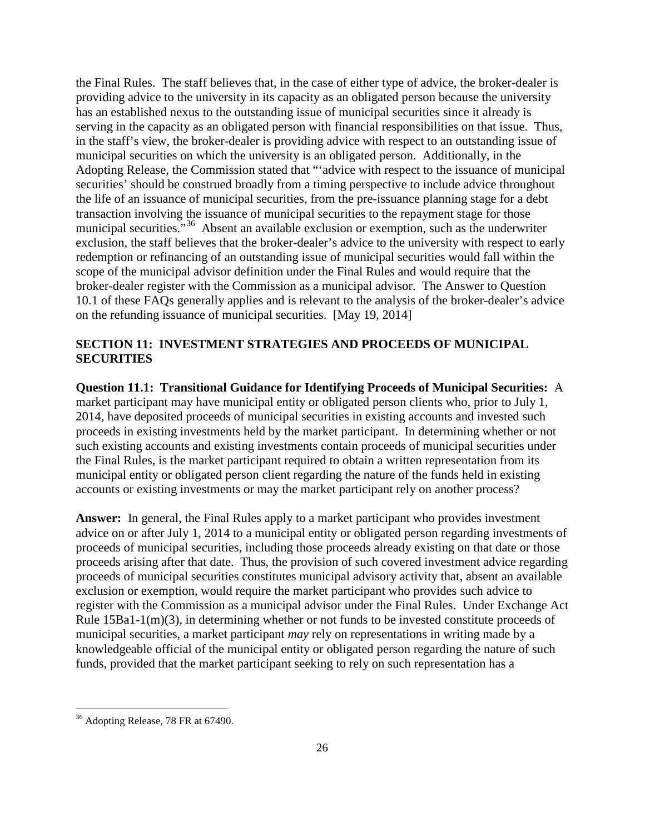the Final Rules. The staff believes that, in the case of either type of advice, the broker-dealer is providing advice to the university in its capacity as an obligated person because the university has an established nexus to the outstanding issue of municipal securities since it already is serving in the capacity as an obligated person with financial responsibilities on that issue. Thus, in the staff's view, the broker-dealer is providing advice with respect to an outstanding issue of municipal securities on which the university is an obligated person. Additionally, in the Adopting Release, the Commission stated that "'advice with respect to the issuance of municipal securities' should be construed broadly from a timing perspective to include advice throughout the life of an issuance of municipal securities, from the pre-issuance planning stage for a debt transaction involving the issuance of municipal securities to the repayment stage for those municipal securities."<sup>[36](#page-25-0)</sup> Absent an available exclusion or exemption, such as the underwriter exclusion, the staff believes that the broker-dealer's advice to the university with respect to early redemption or refinancing of an outstanding issue of municipal securities would fall within the scope of the municipal advisor definition under the Final Rules and would require that the broker-dealer register with the Commission as a municipal advisor. The Answer to Question 10.1 of these FAQs generally applies and is relevant to the analysis of the broker-dealer's advice on the refunding issuance of municipal securities. [May 19, 2014]

# **SECTION 11: INVESTMENT STRATEGIES AND PROCEEDS OF MUNICIPAL SECURITIES**

**Question 11.1: Transitional Guidance for Identifying Proceeds of Municipal Securities:** A market participant may have municipal entity or obligated person clients who, prior to July 1, 2014, have deposited proceeds of municipal securities in existing accounts and invested such proceeds in existing investments held by the market participant. In determining whether or not such existing accounts and existing investments contain proceeds of municipal securities under the Final Rules, is the market participant required to obtain a written representation from its municipal entity or obligated person client regarding the nature of the funds held in existing accounts or existing investments or may the market participant rely on another process?

**Answer:** In general, the Final Rules apply to a market participant who provides investment advice on or after July 1, 2014 to a municipal entity or obligated person regarding investments of proceeds of municipal securities, including those proceeds already existing on that date or those proceeds arising after that date. Thus, the provision of such covered investment advice regarding proceeds of municipal securities constitutes municipal advisory activity that, absent an available exclusion or exemption, would require the market participant who provides such advice to register with the Commission as a municipal advisor under the Final Rules. Under Exchange Act Rule 15Ba1-1(m)(3), in determining whether or not funds to be invested constitute proceeds of municipal securities, a market participant *may* rely on representations in writing made by a knowledgeable official of the municipal entity or obligated person regarding the nature of such funds, provided that the market participant seeking to rely on such representation has a

<span id="page-25-0"></span><sup>&</sup>lt;sup>36</sup> Adopting Release, 78 FR at 67490.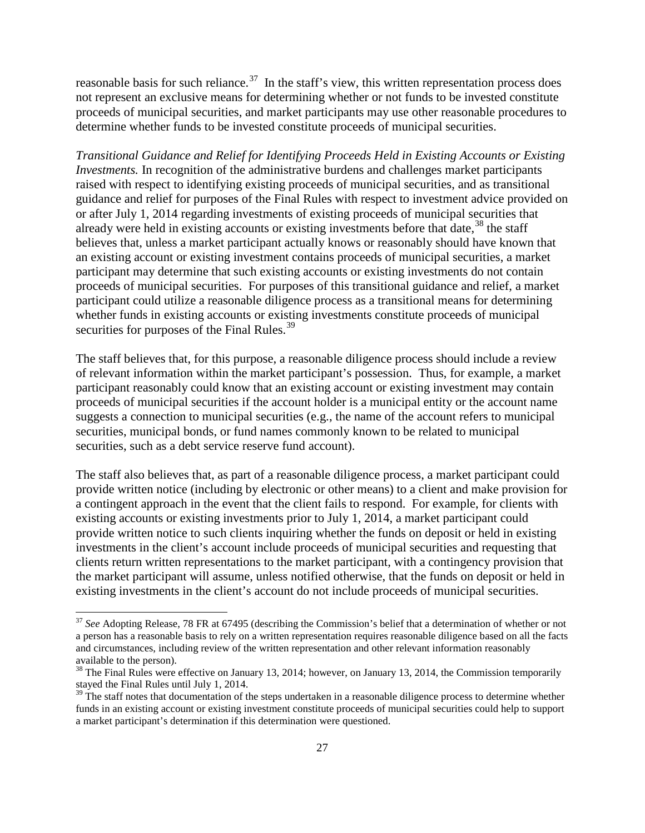reasonable basis for such reliance.<sup>[37](#page-26-0)</sup> In the staff's view, this written representation process does not represent an exclusive means for determining whether or not funds to be invested constitute proceeds of municipal securities, and market participants may use other reasonable procedures to determine whether funds to be invested constitute proceeds of municipal securities.

*Transitional Guidance and Relief for Identifying Proceeds Held in Existing Accounts or Existing Investments.* In recognition of the administrative burdens and challenges market participants raised with respect to identifying existing proceeds of municipal securities, and as transitional guidance and relief for purposes of the Final Rules with respect to investment advice provided on or after July 1, 2014 regarding investments of existing proceeds of municipal securities that already were held in existing accounts or existing investments before that date,<sup>[38](#page-26-1)</sup> the staff believes that, unless a market participant actually knows or reasonably should have known that an existing account or existing investment contains proceeds of municipal securities, a market participant may determine that such existing accounts or existing investments do not contain proceeds of municipal securities. For purposes of this transitional guidance and relief, a market participant could utilize a reasonable diligence process as a transitional means for determining whether funds in existing accounts or existing investments constitute proceeds of municipal securities for purposes of the Final Rules.<sup>[39](#page-26-2)</sup>

The staff believes that, for this purpose, a reasonable diligence process should include a review of relevant information within the market participant's possession. Thus, for example, a market participant reasonably could know that an existing account or existing investment may contain proceeds of municipal securities if the account holder is a municipal entity or the account name suggests a connection to municipal securities (e.g., the name of the account refers to municipal securities, municipal bonds, or fund names commonly known to be related to municipal securities, such as a debt service reserve fund account).

The staff also believes that, as part of a reasonable diligence process, a market participant could provide written notice (including by electronic or other means) to a client and make provision for a contingent approach in the event that the client fails to respond. For example, for clients with existing accounts or existing investments prior to July 1, 2014, a market participant could provide written notice to such clients inquiring whether the funds on deposit or held in existing investments in the client's account include proceeds of municipal securities and requesting that clients return written representations to the market participant, with a contingency provision that the market participant will assume, unless notified otherwise, that the funds on deposit or held in existing investments in the client's account do not include proceeds of municipal securities.

<span id="page-26-0"></span><sup>37</sup> *See* Adopting Release, 78 FR at 67495 (describing the Commission's belief that a determination of whether or not a person has a reasonable basis to rely on a written representation requires reasonable diligence based on all the facts and circumstances, including review of the written representation and other relevant information reasonably available to the person).

<span id="page-26-1"></span><sup>&</sup>lt;sup>38</sup> The Final Rules were effective on January 13, 2014; however, on January 13, 2014, the Commission temporarily stayed the Final Rules until July 1, 2014.

<span id="page-26-2"></span> $39$  The staff notes that documentation of the steps undertaken in a reasonable diligence process to determine whether funds in an existing account or existing investment constitute proceeds of municipal securities could help to support a market participant's determination if this determination were questioned.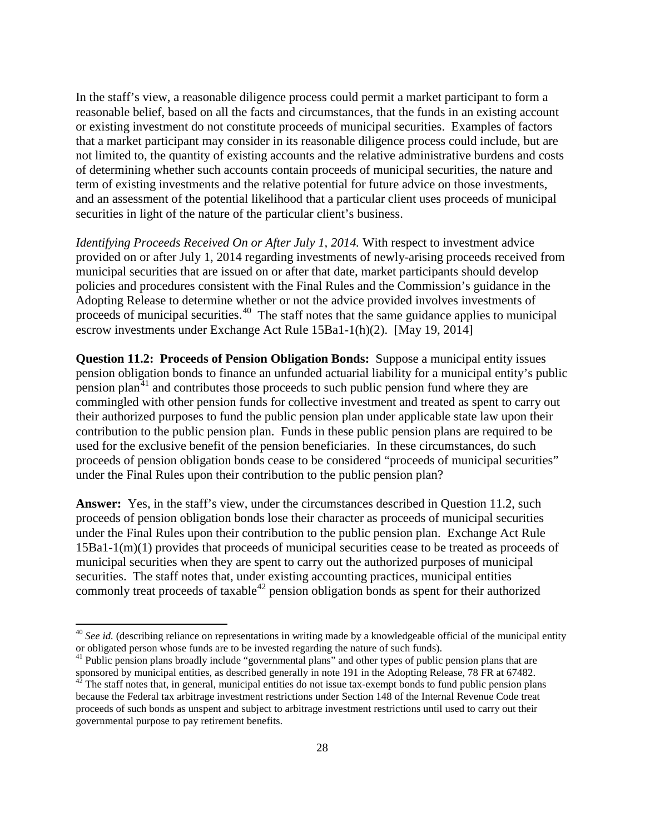In the staff's view, a reasonable diligence process could permit a market participant to form a reasonable belief, based on all the facts and circumstances, that the funds in an existing account or existing investment do not constitute proceeds of municipal securities. Examples of factors that a market participant may consider in its reasonable diligence process could include, but are not limited to, the quantity of existing accounts and the relative administrative burdens and costs of determining whether such accounts contain proceeds of municipal securities, the nature and term of existing investments and the relative potential for future advice on those investments, and an assessment of the potential likelihood that a particular client uses proceeds of municipal securities in light of the nature of the particular client's business.

*Identifying Proceeds Received On or After July 1, 2014.* With respect to investment advice provided on or after July 1, 2014 regarding investments of newly-arising proceeds received from municipal securities that are issued on or after that date, market participants should develop policies and procedures consistent with the Final Rules and the Commission's guidance in the Adopting Release to determine whether or not the advice provided involves investments of proceeds of municipal securities.<sup>40</sup> The staff notes that the same guidance applies to municipal escrow investments under Exchange Act Rule 15Ba1-1(h)(2). [May 19, 2014]

**Question 11.2: Proceeds of Pension Obligation Bonds:** Suppose a municipal entity issues pension obligation bonds to finance an unfunded actuarial liability for a municipal entity's public pension plan<sup>[41](#page-27-1)</sup> and contributes those proceeds to such public pension fund where they are commingled with other pension funds for collective investment and treated as spent to carry out their authorized purposes to fund the public pension plan under applicable state law upon their contribution to the public pension plan. Funds in these public pension plans are required to be used for the exclusive benefit of the pension beneficiaries. In these circumstances, do such proceeds of pension obligation bonds cease to be considered "proceeds of municipal securities" under the Final Rules upon their contribution to the public pension plan?

**Answer:** Yes, in the staff's view, under the circumstances described in Question 11.2, such proceeds of pension obligation bonds lose their character as proceeds of municipal securities under the Final Rules upon their contribution to the public pension plan. Exchange Act Rule 15Ba1-1(m)(1) provides that proceeds of municipal securities cease to be treated as proceeds of municipal securities when they are spent to carry out the authorized purposes of municipal securities. The staff notes that, under existing accounting practices, municipal entities commonly treat proceeds of taxable<sup>[42](#page-27-2)</sup> pension obligation bonds as spent for their authorized

<span id="page-27-0"></span><sup>&</sup>lt;sup>40</sup> See id. (describing reliance on representations in writing made by a knowledgeable official of the municipal entity or obligated person whose funds are to be invested regarding the nature of such funds). <sup>41</sup> Public pension plans broadly include "governmental plans" and other types of public pension plans that are

<span id="page-27-1"></span>sponsored by municipal entities, as described generally in note 191 in the Adopting Release, 78 FR at 67482.

<span id="page-27-2"></span> $42$ <sup> $42$ </sup> The staff notes that, in general, municipal entities do not issue tax-exempt bonds to fund public pension plans because the Federal tax arbitrage investment restrictions under Section 148 of the Internal Revenue Code treat proceeds of such bonds as unspent and subject to arbitrage investment restrictions until used to carry out their governmental purpose to pay retirement benefits.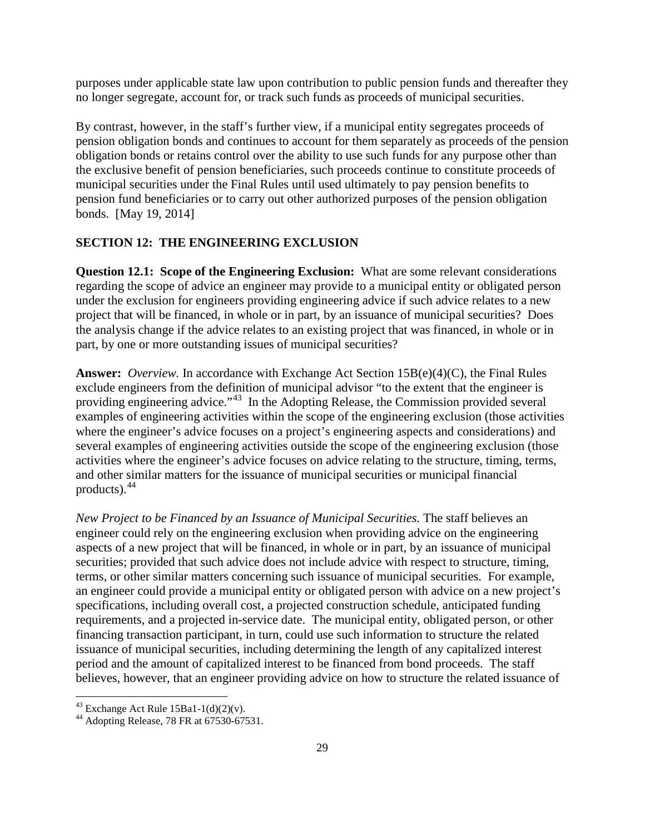purposes under applicable state law upon contribution to public pension funds and thereafter they no longer segregate, account for, or track such funds as proceeds of municipal securities.

By contrast, however, in the staff's further view, if a municipal entity segregates proceeds of pension obligation bonds and continues to account for them separately as proceeds of the pension obligation bonds or retains control over the ability to use such funds for any purpose other than the exclusive benefit of pension beneficiaries, such proceeds continue to constitute proceeds of municipal securities under the Final Rules until used ultimately to pay pension benefits to pension fund beneficiaries or to carry out other authorized purposes of the pension obligation bonds. [May 19, 2014]

# **SECTION 12: THE ENGINEERING EXCLUSION**

**Question 12.1: Scope of the Engineering Exclusion:** What are some relevant considerations regarding the scope of advice an engineer may provide to a municipal entity or obligated person under the exclusion for engineers providing engineering advice if such advice relates to a new project that will be financed, in whole or in part, by an issuance of municipal securities? Does the analysis change if the advice relates to an existing project that was financed, in whole or in part, by one or more outstanding issues of municipal securities?

**Answer:** *Overview.* In accordance with Exchange Act Section 15B(e)(4)(C), the Final Rules exclude engineers from the definition of municipal advisor "to the extent that the engineer is providing engineering advice."[43](#page-28-0) In the Adopting Release, the Commission provided several examples of engineering activities within the scope of the engineering exclusion (those activities where the engineer's advice focuses on a project's engineering aspects and considerations) and several examples of engineering activities outside the scope of the engineering exclusion (those activities where the engineer's advice focuses on advice relating to the structure, timing, terms, and other similar matters for the issuance of municipal securities or municipal financial products).  $44$ 

*New Project to be Financed by an Issuance of Municipal Securities.* The staff believes an engineer could rely on the engineering exclusion when providing advice on the engineering aspects of a new project that will be financed, in whole or in part, by an issuance of municipal securities; provided that such advice does not include advice with respect to structure, timing, terms, or other similar matters concerning such issuance of municipal securities. For example, an engineer could provide a municipal entity or obligated person with advice on a new project's specifications, including overall cost, a projected construction schedule, anticipated funding requirements, and a projected in-service date. The municipal entity, obligated person, or other financing transaction participant, in turn, could use such information to structure the related issuance of municipal securities, including determining the length of any capitalized interest period and the amount of capitalized interest to be financed from bond proceeds. The staff believes, however, that an engineer providing advice on how to structure the related issuance of

<span id="page-28-1"></span><span id="page-28-0"></span><sup>&</sup>lt;sup>43</sup> Exchange Act Rule 15Ba1-1(d)(2)(v).<br><sup>44</sup> Adopting Release, 78 FR at 67530-67531.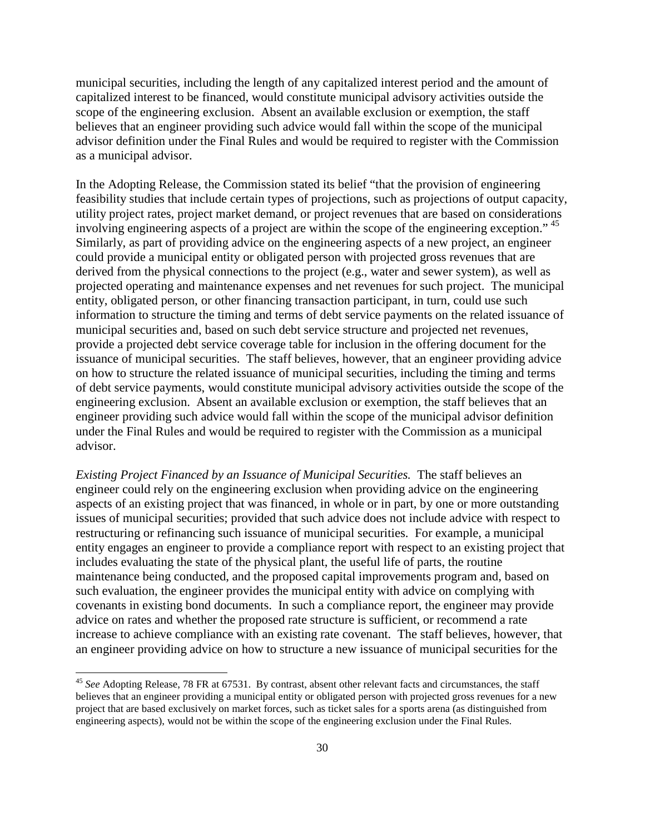municipal securities, including the length of any capitalized interest period and the amount of capitalized interest to be financed, would constitute municipal advisory activities outside the scope of the engineering exclusion. Absent an available exclusion or exemption, the staff believes that an engineer providing such advice would fall within the scope of the municipal advisor definition under the Final Rules and would be required to register with the Commission as a municipal advisor.

In the Adopting Release, the Commission stated its belief "that the provision of engineering feasibility studies that include certain types of projections, such as projections of output capacity, utility project rates, project market demand, or project revenues that are based on considerations involving engineering aspects of a project are within the scope of the engineering exception." [45](#page-29-0) Similarly, as part of providing advice on the engineering aspects of a new project, an engineer could provide a municipal entity or obligated person with projected gross revenues that are derived from the physical connections to the project (e.g., water and sewer system), as well as projected operating and maintenance expenses and net revenues for such project. The municipal entity, obligated person, or other financing transaction participant, in turn, could use such information to structure the timing and terms of debt service payments on the related issuance of municipal securities and, based on such debt service structure and projected net revenues, provide a projected debt service coverage table for inclusion in the offering document for the issuance of municipal securities. The staff believes, however, that an engineer providing advice on how to structure the related issuance of municipal securities, including the timing and terms of debt service payments, would constitute municipal advisory activities outside the scope of the engineering exclusion. Absent an available exclusion or exemption, the staff believes that an engineer providing such advice would fall within the scope of the municipal advisor definition under the Final Rules and would be required to register with the Commission as a municipal advisor.

*Existing Project Financed by an Issuance of Municipal Securities.* The staff believes an engineer could rely on the engineering exclusion when providing advice on the engineering aspects of an existing project that was financed, in whole or in part, by one or more outstanding issues of municipal securities; provided that such advice does not include advice with respect to restructuring or refinancing such issuance of municipal securities.For example, a municipal entity engages an engineer to provide a compliance report with respect to an existing project that includes evaluating the state of the physical plant, the useful life of parts, the routine maintenance being conducted, and the proposed capital improvements program and, based on such evaluation, the engineer provides the municipal entity with advice on complying with covenants in existing bond documents. In such a compliance report, the engineer may provide advice on rates and whether the proposed rate structure is sufficient, or recommend a rate increase to achieve compliance with an existing rate covenant. The staff believes, however, that an engineer providing advice on how to structure a new issuance of municipal securities for the

<span id="page-29-0"></span><sup>&</sup>lt;sup>45</sup> See Adopting Release, 78 FR at 67531. By contrast, absent other relevant facts and circumstances, the staff believes that an engineer providing a municipal entity or obligated person with projected gross revenues for a new project that are based exclusively on market forces, such as ticket sales for a sports arena (as distinguished from engineering aspects), would not be within the scope of the engineering exclusion under the Final Rules.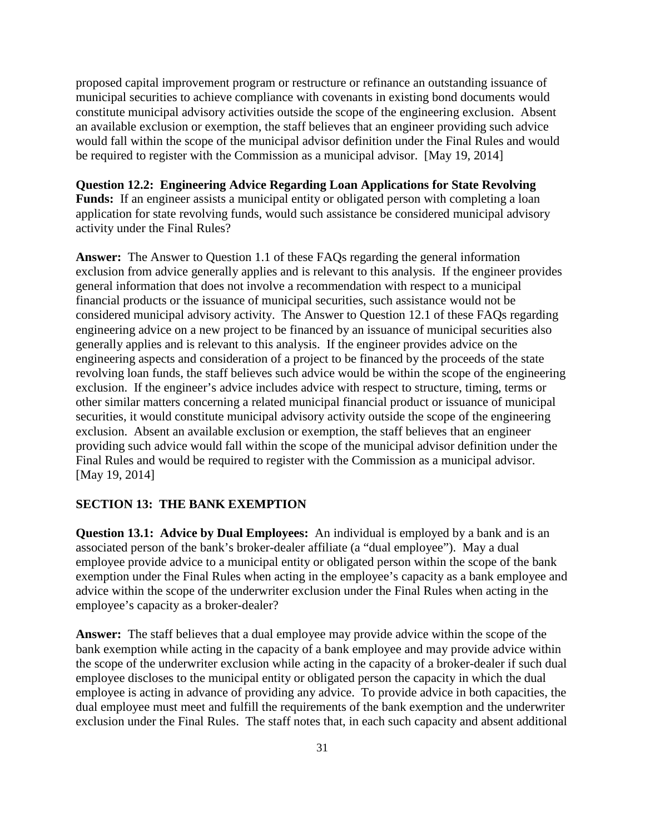proposed capital improvement program or restructure or refinance an outstanding issuance of municipal securities to achieve compliance with covenants in existing bond documents would constitute municipal advisory activities outside the scope of the engineering exclusion. Absent an available exclusion or exemption, the staff believes that an engineer providing such advice would fall within the scope of the municipal advisor definition under the Final Rules and would be required to register with the Commission as a municipal advisor. [May 19, 2014]

### **Question 12.2: Engineering Advice Regarding Loan Applications for State Revolving**

Funds: If an engineer assists a municipal entity or obligated person with completing a loan application for state revolving funds, would such assistance be considered municipal advisory activity under the Final Rules?

**Answer:** The Answer to Question 1.1 of these FAQs regarding the general information exclusion from advice generally applies and is relevant to this analysis. If the engineer provides general information that does not involve a recommendation with respect to a municipal financial products or the issuance of municipal securities, such assistance would not be considered municipal advisory activity. The Answer to Question 12.1 of these FAQs regarding engineering advice on a new project to be financed by an issuance of municipal securities also generally applies and is relevant to this analysis. If the engineer provides advice on the engineering aspects and consideration of a project to be financed by the proceeds of the state revolving loan funds, the staff believes such advice would be within the scope of the engineering exclusion. If the engineer's advice includes advice with respect to structure, timing, terms or other similar matters concerning a related municipal financial product or issuance of municipal securities, it would constitute municipal advisory activity outside the scope of the engineering exclusion. Absent an available exclusion or exemption, the staff believes that an engineer providing such advice would fall within the scope of the municipal advisor definition under the Final Rules and would be required to register with the Commission as a municipal advisor. [May 19, 2014]

### **SECTION 13: THE BANK EXEMPTION**

**Question 13.1: Advice by Dual Employees:** An individual is employed by a bank and is an associated person of the bank's broker-dealer affiliate (a "dual employee"). May a dual employee provide advice to a municipal entity or obligated person within the scope of the bank exemption under the Final Rules when acting in the employee's capacity as a bank employee and advice within the scope of the underwriter exclusion under the Final Rules when acting in the employee's capacity as a broker-dealer?

**Answer:** The staff believes that a dual employee may provide advice within the scope of the bank exemption while acting in the capacity of a bank employee and may provide advice within the scope of the underwriter exclusion while acting in the capacity of a broker-dealer if such dual employee discloses to the municipal entity or obligated person the capacity in which the dual employee is acting in advance of providing any advice. To provide advice in both capacities, the dual employee must meet and fulfill the requirements of the bank exemption and the underwriter exclusion under the Final Rules. The staff notes that, in each such capacity and absent additional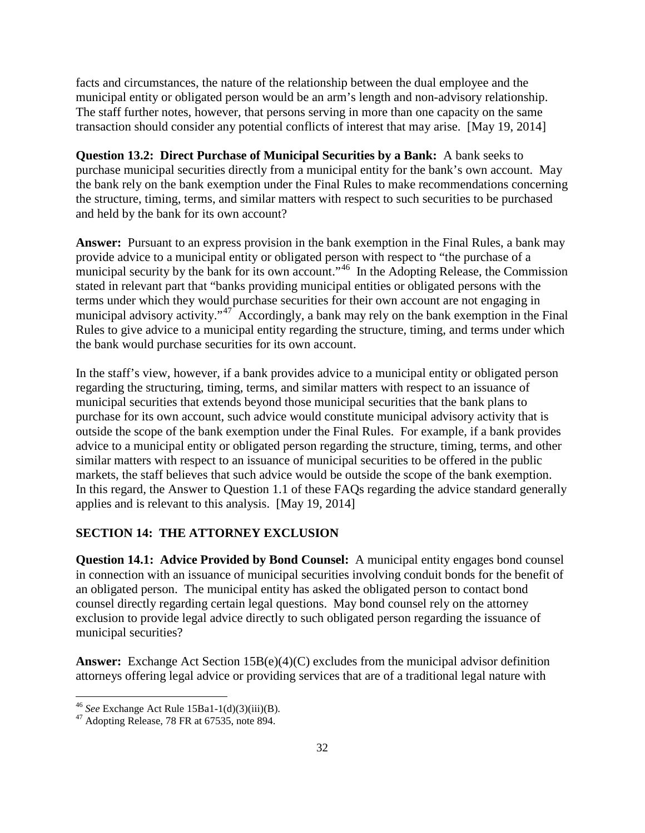facts and circumstances, the nature of the relationship between the dual employee and the municipal entity or obligated person would be an arm's length and non-advisory relationship. The staff further notes, however, that persons serving in more than one capacity on the same transaction should consider any potential conflicts of interest that may arise. [May 19, 2014]

**Question 13.2: Direct Purchase of Municipal Securities by a Bank:** A bank seeks to purchase municipal securities directly from a municipal entity for the bank's own account. May the bank rely on the bank exemption under the Final Rules to make recommendations concerning the structure, timing, terms, and similar matters with respect to such securities to be purchased and held by the bank for its own account?

**Answer:** Pursuant to an express provision in the bank exemption in the Final Rules, a bank may provide advice to a municipal entity or obligated person with respect to "the purchase of a municipal security by the bank for its own account."<sup>[46](#page-31-0)</sup> In the Adopting Release, the Commission stated in relevant part that "banks providing municipal entities or obligated persons with the terms under which they would purchase securities for their own account are not engaging in municipal advisory activity."<sup>[47](#page-31-1)</sup> Accordingly, a bank may rely on the bank exemption in the Final Rules to give advice to a municipal entity regarding the structure, timing, and terms under which the bank would purchase securities for its own account.

In the staff's view, however, if a bank provides advice to a municipal entity or obligated person regarding the structuring, timing, terms, and similar matters with respect to an issuance of municipal securities that extends beyond those municipal securities that the bank plans to purchase for its own account, such advice would constitute municipal advisory activity that is outside the scope of the bank exemption under the Final Rules. For example, if a bank provides advice to a municipal entity or obligated person regarding the structure, timing, terms, and other similar matters with respect to an issuance of municipal securities to be offered in the public markets, the staff believes that such advice would be outside the scope of the bank exemption. In this regard, the Answer to Question 1.1 of these FAQs regarding the advice standard generally applies and is relevant to this analysis. [May 19, 2014]

## **SECTION 14: THE ATTORNEY EXCLUSION**

**Question 14.1: Advice Provided by Bond Counsel:** A municipal entity engages bond counsel in connection with an issuance of municipal securities involving conduit bonds for the benefit of an obligated person. The municipal entity has asked the obligated person to contact bond counsel directly regarding certain legal questions. May bond counsel rely on the attorney exclusion to provide legal advice directly to such obligated person regarding the issuance of municipal securities?

**Answer:** Exchange Act Section 15B(e)(4)(C) excludes from the municipal advisor definition attorneys offering legal advice or providing services that are of a traditional legal nature with

<span id="page-31-1"></span><span id="page-31-0"></span><sup>46</sup> *See* Exchange Act Rule 15Ba1-1(d)(3)(iii)(B). <sup>47</sup> Adopting Release, 78 FR at 67535, note 894.